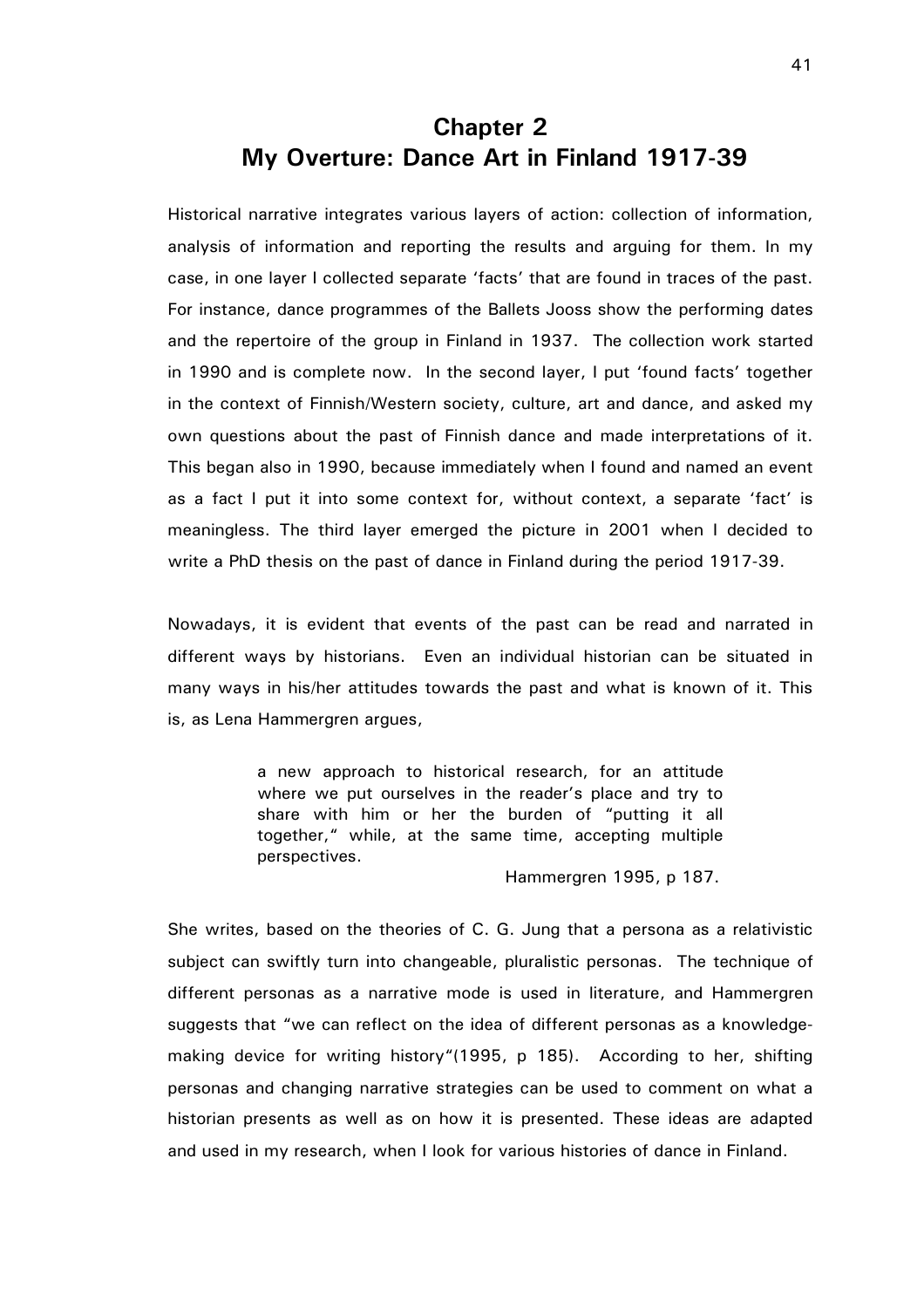# Chapter 2 My Overture: Dance Art in Finland 1917-39

Historical narrative integrates various layers of action: collection of information, analysis of information and reporting the results and arguing for them. In my case, in one layer I collected separate 'facts' that are found in traces of the past. For instance, dance programmes of the Ballets Jooss show the performing dates and the repertoire of the group in Finland in 1937. The collection work started in 1990 and is complete now. In the second layer, I put 'found facts' together in the context of Finnish/Western society, culture, art and dance, and asked my own questions about the past of Finnish dance and made interpretations of it. This began also in 1990, because immediately when I found and named an event as a fact I put it into some context for, without context, a separate 'fact' is meaningless. The third layer emerged the picture in 2001 when I decided to write a PhD thesis on the past of dance in Finland during the period 1917-39.

Nowadays, it is evident that events of the past can be read and narrated in different ways by historians. Even an individual historian can be situated in many ways in his/her attitudes towards the past and what is known of it. This is, as Lena Hammergren argues,

> a new approach to historical research, for an attitude where we put ourselves in the reader's place and try to share with him or her the burden of "putting it all together," while, at the same time, accepting multiple perspectives.

> > Hammergren 1995, p 187.

She writes, based on the theories of C. G. Jung that a persona as a relativistic subject can swiftly turn into changeable, pluralistic personas. The technique of different personas as a narrative mode is used in literature, and Hammergren suggests that "we can reflect on the idea of different personas as a knowledgemaking device for writing history"(1995, p 185). According to her, shifting personas and changing narrative strategies can be used to comment on what a historian presents as well as on how it is presented. These ideas are adapted and used in my research, when I look for various histories of dance in Finland.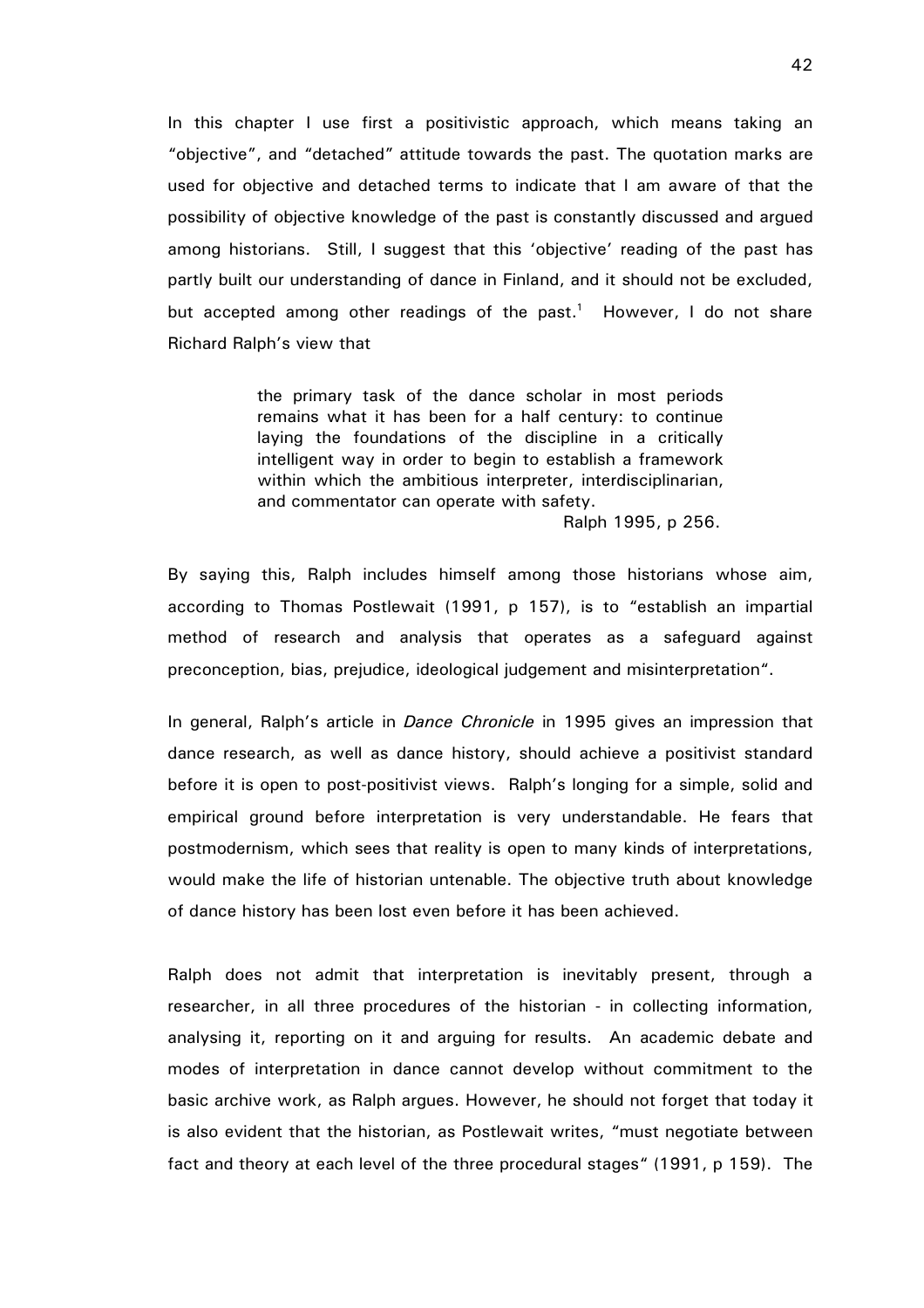In this chapter I use first a positivistic approach, which means taking an "objective", and "detached" attitude towards the past. The quotation marks are used for objective and detached terms to indicate that I am aware of that the possibility of objective knowledge of the past is constantly discussed and argued among historians. Still, I suggest that this 'objective' reading of the past has partly built our understanding of dance in Finland, and it should not be excluded, but accepted among other readings of the past. $1$  However, I do not share Richard Ralph's view that

> the primary task of the dance scholar in most periods remains what it has been for a half century: to continue laying the foundations of the discipline in a critically intelligent way in order to begin to establish a framework within which the ambitious interpreter, interdisciplinarian, and commentator can operate with safety.

Ralph 1995, p 256.

By saying this, Ralph includes himself among those historians whose aim, according to Thomas Postlewait (1991, p 157), is to "establish an impartial method of research and analysis that operates as a safeguard against preconception, bias, prejudice, ideological judgement and misinterpretation".

In general, Ralph's article in *Dance Chronicle* in 1995 gives an impression that dance research, as well as dance history, should achieve a positivist standard before it is open to post-positivist views. Ralph's longing for a simple, solid and empirical ground before interpretation is very understandable. He fears that postmodernism, which sees that reality is open to many kinds of interpretations, would make the life of historian untenable. The objective truth about knowledge of dance history has been lost even before it has been achieved.

Ralph does not admit that interpretation is inevitably present, through a researcher, in all three procedures of the historian - in collecting information, analysing it, reporting on it and arguing for results. An academic debate and modes of interpretation in dance cannot develop without commitment to the basic archive work, as Ralph argues. However, he should not forget that today it is also evident that the historian, as Postlewait writes, "must negotiate between fact and theory at each level of the three procedural stages" (1991, p 159). The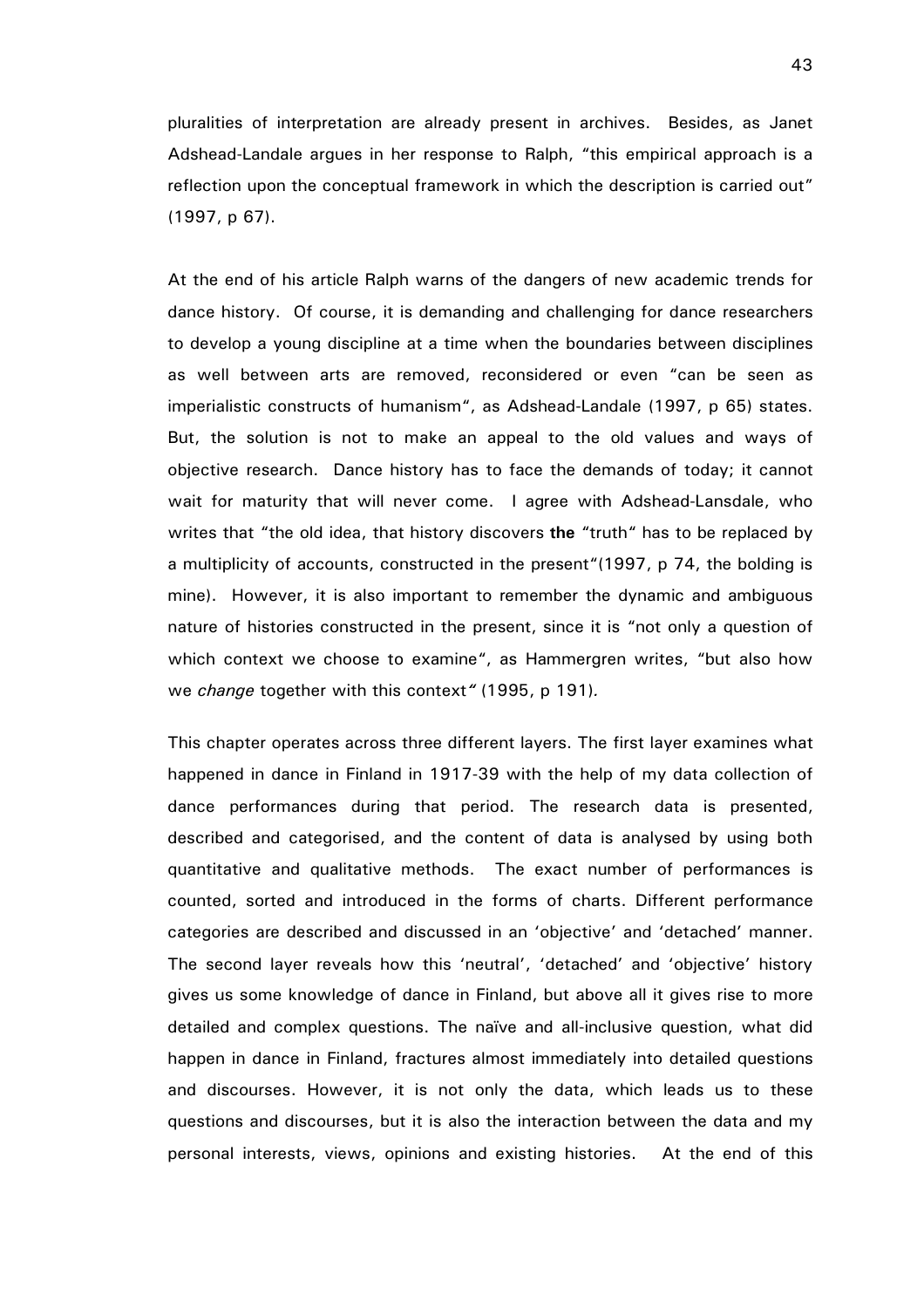pluralities of interpretation are already present in archives. Besides, as Janet Adshead-Landale argues in her response to Ralph, "this empirical approach is a reflection upon the conceptual framework in which the description is carried out" (1997, p 67).

At the end of his article Ralph warns of the dangers of new academic trends for dance history. Of course, it is demanding and challenging for dance researchers to develop a young discipline at a time when the boundaries between disciplines as well between arts are removed, reconsidered or even "can be seen as imperialistic constructs of humanism", as Adshead-Landale (1997, p 65) states. But, the solution is not to make an appeal to the old values and ways of objective research. Dance history has to face the demands of today; it cannot wait for maturity that will never come. I agree with Adshead-Lansdale, who writes that "the old idea, that history discovers the "truth" has to be replaced by a multiplicity of accounts, constructed in the present"(1997, p 74, the bolding is mine). However, it is also important to remember the dynamic and ambiguous nature of histories constructed in the present, since it is "not only a question of which context we choose to examine", as Hammergren writes, "but also how we *change* together with this context" (1995, p 191).

This chapter operates across three different layers. The first layer examines what happened in dance in Finland in 1917-39 with the help of my data collection of dance performances during that period. The research data is presented, described and categorised, and the content of data is analysed by using both quantitative and qualitative methods. The exact number of performances is counted, sorted and introduced in the forms of charts. Different performance categories are described and discussed in an 'objective' and 'detached' manner. The second layer reveals how this 'neutral', 'detached' and 'objective' history gives us some knowledge of dance in Finland, but above all it gives rise to more detailed and complex questions. The naïve and all-inclusive question, what did happen in dance in Finland, fractures almost immediately into detailed questions and discourses. However, it is not only the data, which leads us to these questions and discourses, but it is also the interaction between the data and my personal interests, views, opinions and existing histories. At the end of this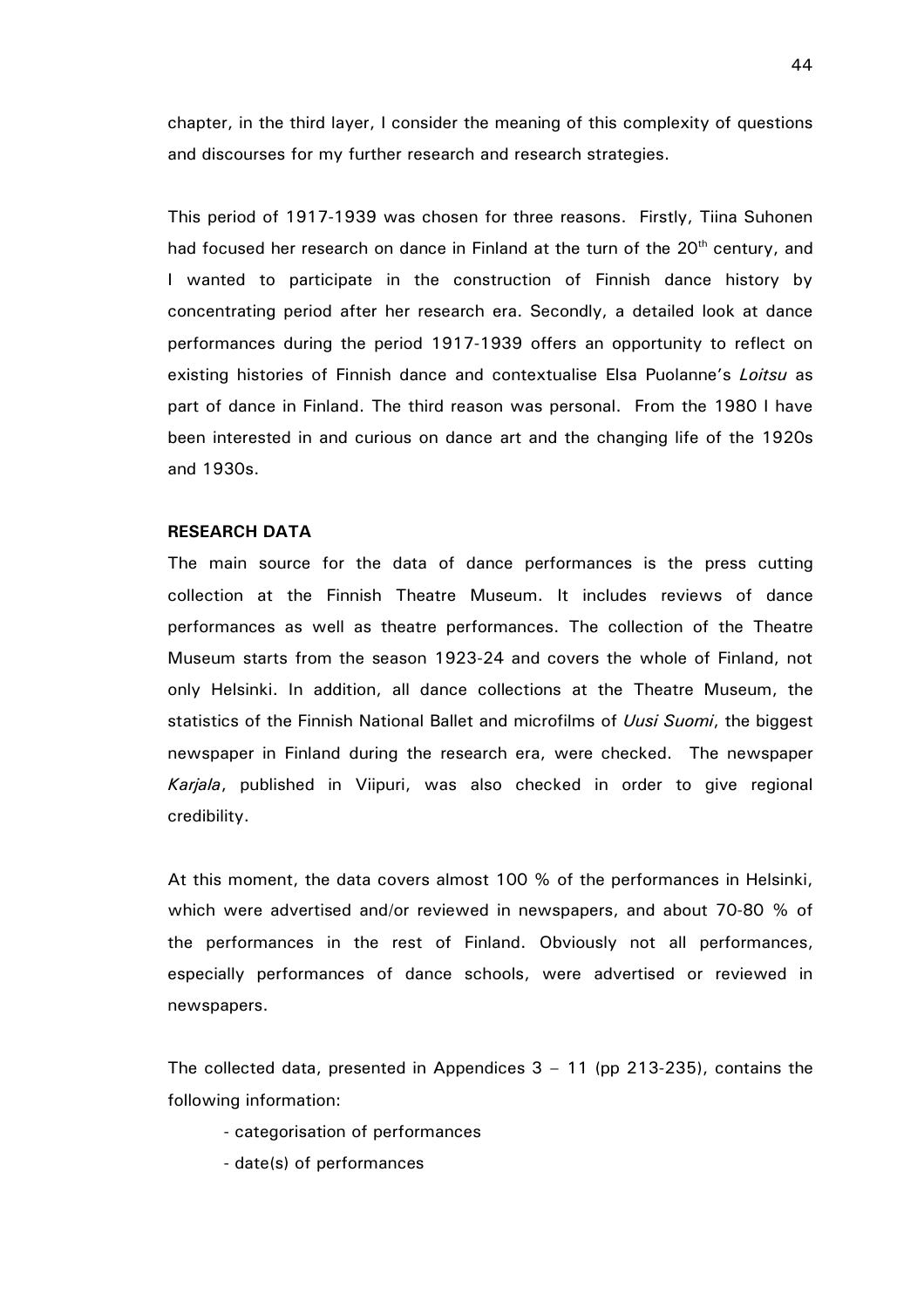chapter, in the third layer, I consider the meaning of this complexity of questions and discourses for my further research and research strategies.

This period of 1917-1939 was chosen for three reasons. Firstly, Tiina Suhonen had focused her research on dance in Finland at the turn of the 20<sup>th</sup> century, and I wanted to participate in the construction of Finnish dance history by concentrating period after her research era. Secondly, a detailed look at dance performances during the period 1917-1939 offers an opportunity to reflect on existing histories of Finnish dance and contextualise Elsa Puolanne's Loitsu as part of dance in Finland. The third reason was personal. From the 1980 I have been interested in and curious on dance art and the changing life of the 1920s and 1930s.

#### RESEARCH DATA

The main source for the data of dance performances is the press cutting collection at the Finnish Theatre Museum. It includes reviews of dance performances as well as theatre performances. The collection of the Theatre Museum starts from the season 1923-24 and covers the whole of Finland, not only Helsinki. In addition, all dance collections at the Theatre Museum, the statistics of the Finnish National Ballet and microfilms of Uusi Suomi, the biggest newspaper in Finland during the research era, were checked. The newspaper Karjala, published in Viipuri, was also checked in order to give regional credibility.

At this moment, the data covers almost 100 % of the performances in Helsinki, which were advertised and/or reviewed in newspapers, and about 70-80 % of the performances in the rest of Finland. Obviously not all performances, especially performances of dance schools, were advertised or reviewed in newspapers.

The collected data, presented in Appendices  $3 - 11$  (pp 213-235), contains the following information:

- categorisation of performances

- date(s) of performances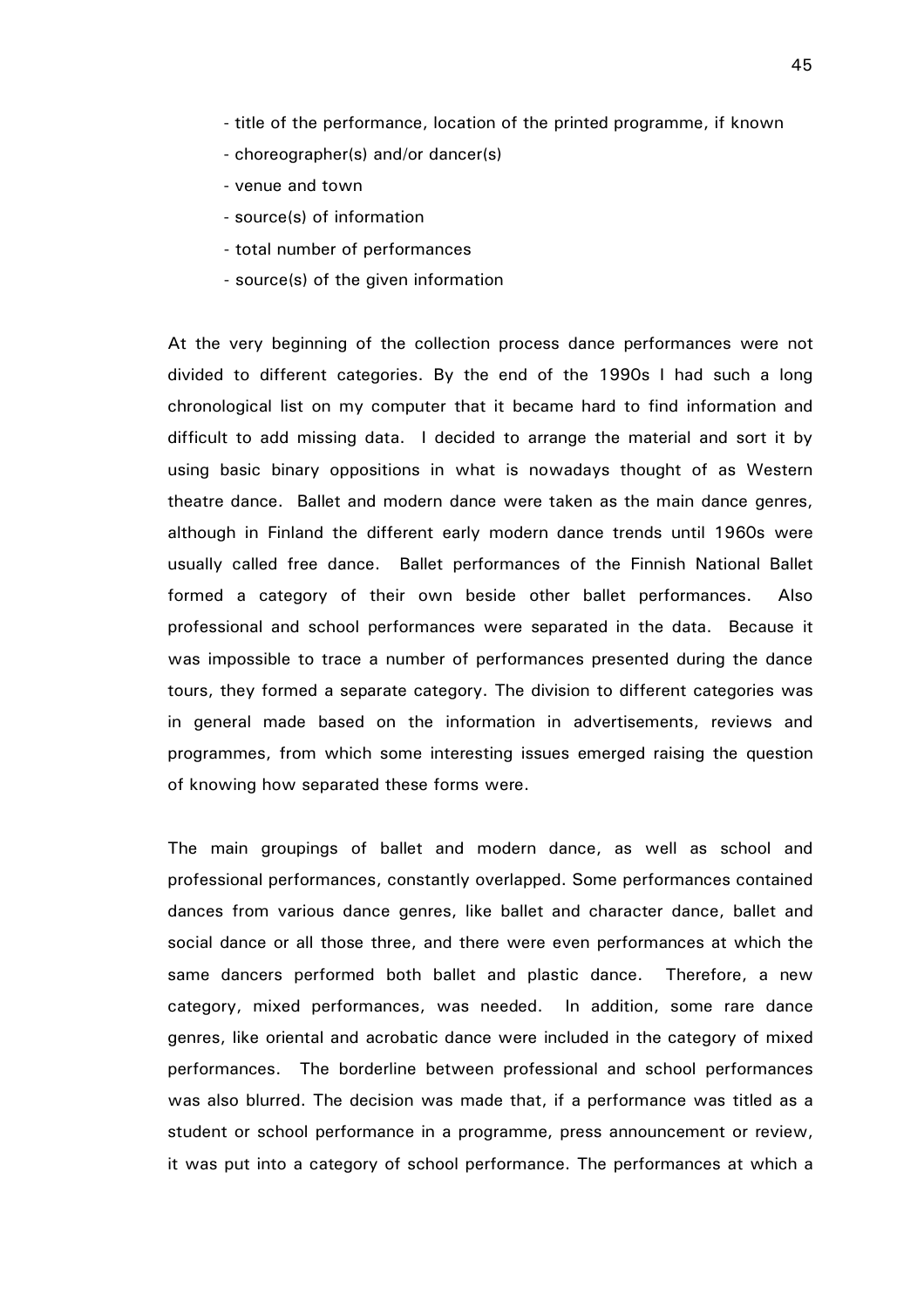- choreographer(s) and/or dancer(s)
- venue and town
- source(s) of information
- total number of performances
- source(s) of the given information

At the very beginning of the collection process dance performances were not divided to different categories. By the end of the 1990s I had such a long chronological list on my computer that it became hard to find information and difficult to add missing data. I decided to arrange the material and sort it by using basic binary oppositions in what is nowadays thought of as Western theatre dance. Ballet and modern dance were taken as the main dance genres, although in Finland the different early modern dance trends until 1960s were usually called free dance. Ballet performances of the Finnish National Ballet formed a category of their own beside other ballet performances. Also professional and school performances were separated in the data. Because it was impossible to trace a number of performances presented during the dance tours, they formed a separate category. The division to different categories was in general made based on the information in advertisements, reviews and programmes, from which some interesting issues emerged raising the question of knowing how separated these forms were.

The main groupings of ballet and modern dance, as well as school and professional performances, constantly overlapped. Some performances contained dances from various dance genres, like ballet and character dance, ballet and social dance or all those three, and there were even performances at which the same dancers performed both ballet and plastic dance. Therefore, a new category, mixed performances, was needed. In addition, some rare dance genres, like oriental and acrobatic dance were included in the category of mixed performances. The borderline between professional and school performances was also blurred. The decision was made that, if a performance was titled as a student or school performance in a programme, press announcement or review, it was put into a category of school performance. The performances at which a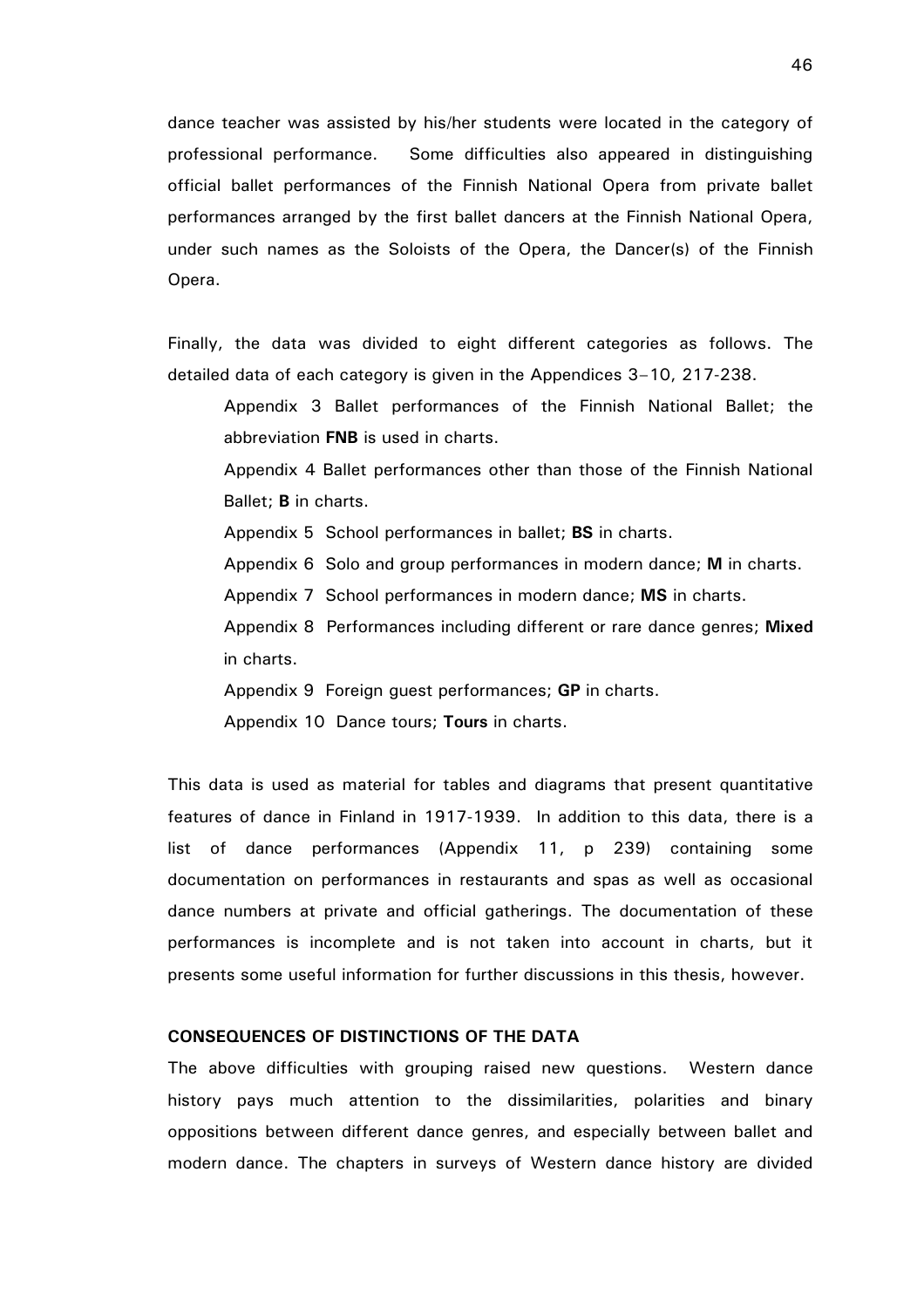dance teacher was assisted by his/her students were located in the category of professional performance. Some difficulties also appeared in distinguishing official ballet performances of the Finnish National Opera from private ballet performances arranged by the first ballet dancers at the Finnish National Opera, under such names as the Soloists of the Opera, the Dancer(s) of the Finnish Opera.

Finally, the data was divided to eight different categories as follows. The detailed data of each category is given in the Appendices 3–10, 217-238.

Appendix 3 Ballet performances of the Finnish National Ballet; the abbreviation FNB is used in charts.

Appendix 4 Ballet performances other than those of the Finnish National Ballet; B in charts.

Appendix 5 School performances in ballet; BS in charts.

Appendix 6 Solo and group performances in modern dance; M in charts.

Appendix 7 School performances in modern dance; MS in charts.

Appendix 8 Performances including different or rare dance genres; Mixed in charts.

Appendix 9 Foreign guest performances; GP in charts.

Appendix 10 Dance tours; Tours in charts.

This data is used as material for tables and diagrams that present quantitative features of dance in Finland in 1917-1939. In addition to this data, there is a list of dance performances (Appendix 11, p 239) containing some documentation on performances in restaurants and spas as well as occasional dance numbers at private and official gatherings. The documentation of these performances is incomplete and is not taken into account in charts, but it presents some useful information for further discussions in this thesis, however.

### CONSEQUENCES OF DISTINCTIONS OF THE DATA

The above difficulties with grouping raised new questions. Western dance history pays much attention to the dissimilarities, polarities and binary oppositions between different dance genres, and especially between ballet and modern dance. The chapters in surveys of Western dance history are divided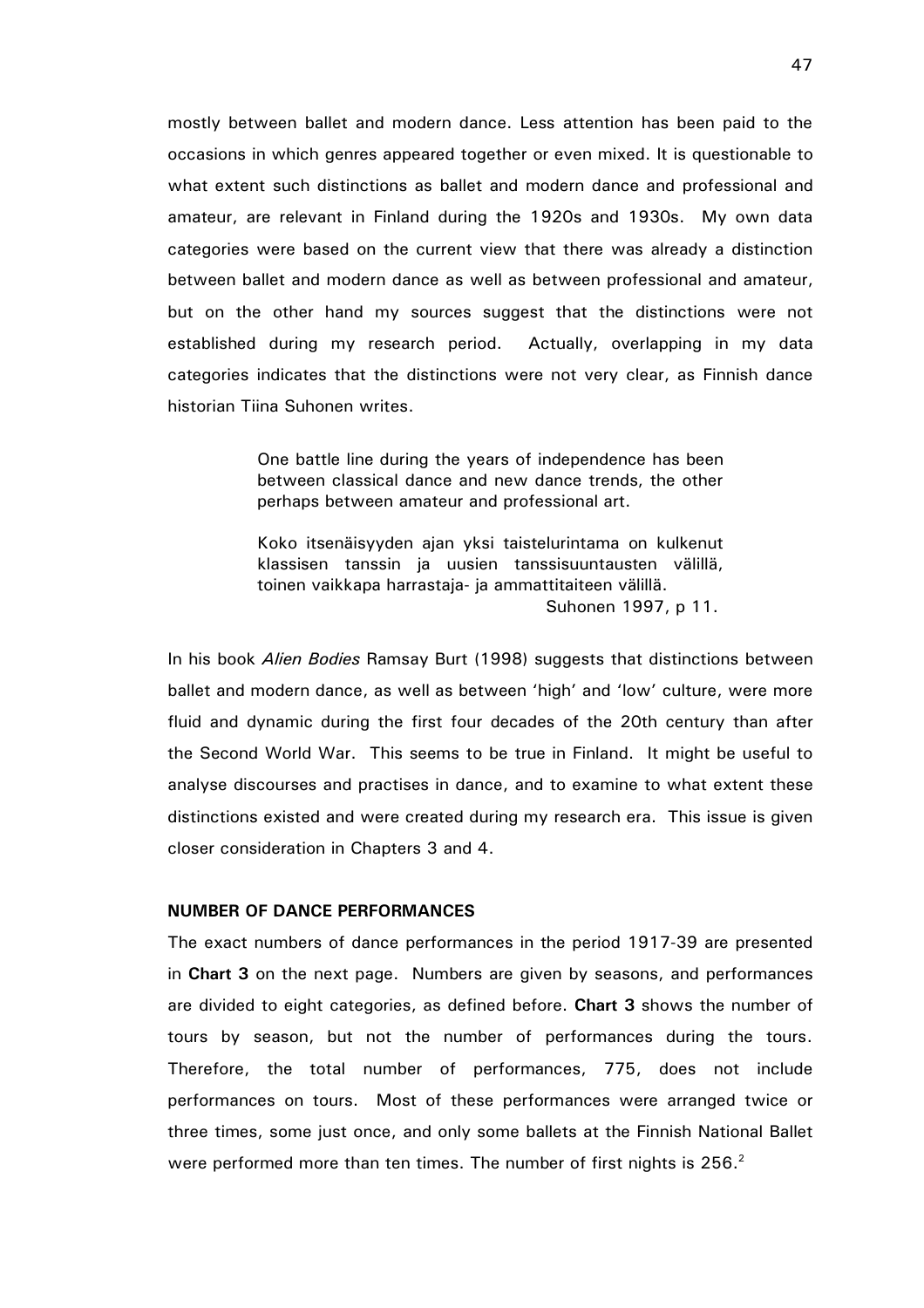mostly between ballet and modern dance. Less attention has been paid to the occasions in which genres appeared together or even mixed. It is questionable to what extent such distinctions as ballet and modern dance and professional and amateur, are relevant in Finland during the 1920s and 1930s. My own data categories were based on the current view that there was already a distinction between ballet and modern dance as well as between professional and amateur, but on the other hand my sources suggest that the distinctions were not established during my research period. Actually, overlapping in my data categories indicates that the distinctions were not very clear, as Finnish dance historian Tiina Suhonen writes.

> One battle line during the years of independence has been between classical dance and new dance trends, the other perhaps between amateur and professional art.

> Koko itsenäisyyden ajan yksi taistelurintama on kulkenut klassisen tanssin ja uusien tanssisuuntausten välillä, toinen vaikkapa harrastaja- ja ammattitaiteen välillä. Suhonen 1997, p 11.

In his book *Alien Bodies* Ramsay Burt (1998) suggests that distinctions between ballet and modern dance, as well as between 'high' and 'low' culture, were more fluid and dynamic during the first four decades of the 20th century than after the Second World War. This seems to be true in Finland. It might be useful to analyse discourses and practises in dance, and to examine to what extent these distinctions existed and were created during my research era. This issue is given closer consideration in Chapters 3 and 4.

### NUMBER OF DANCE PERFORMANCES

The exact numbers of dance performances in the period 1917-39 are presented in Chart 3 on the next page. Numbers are given by seasons, and performances are divided to eight categories, as defined before. Chart 3 shows the number of tours by season, but not the number of performances during the tours. Therefore, the total number of performances, 775, does not include performances on tours. Most of these performances were arranged twice or three times, some just once, and only some ballets at the Finnish National Ballet were performed more than ten times. The number of first nights is  $256.<sup>2</sup>$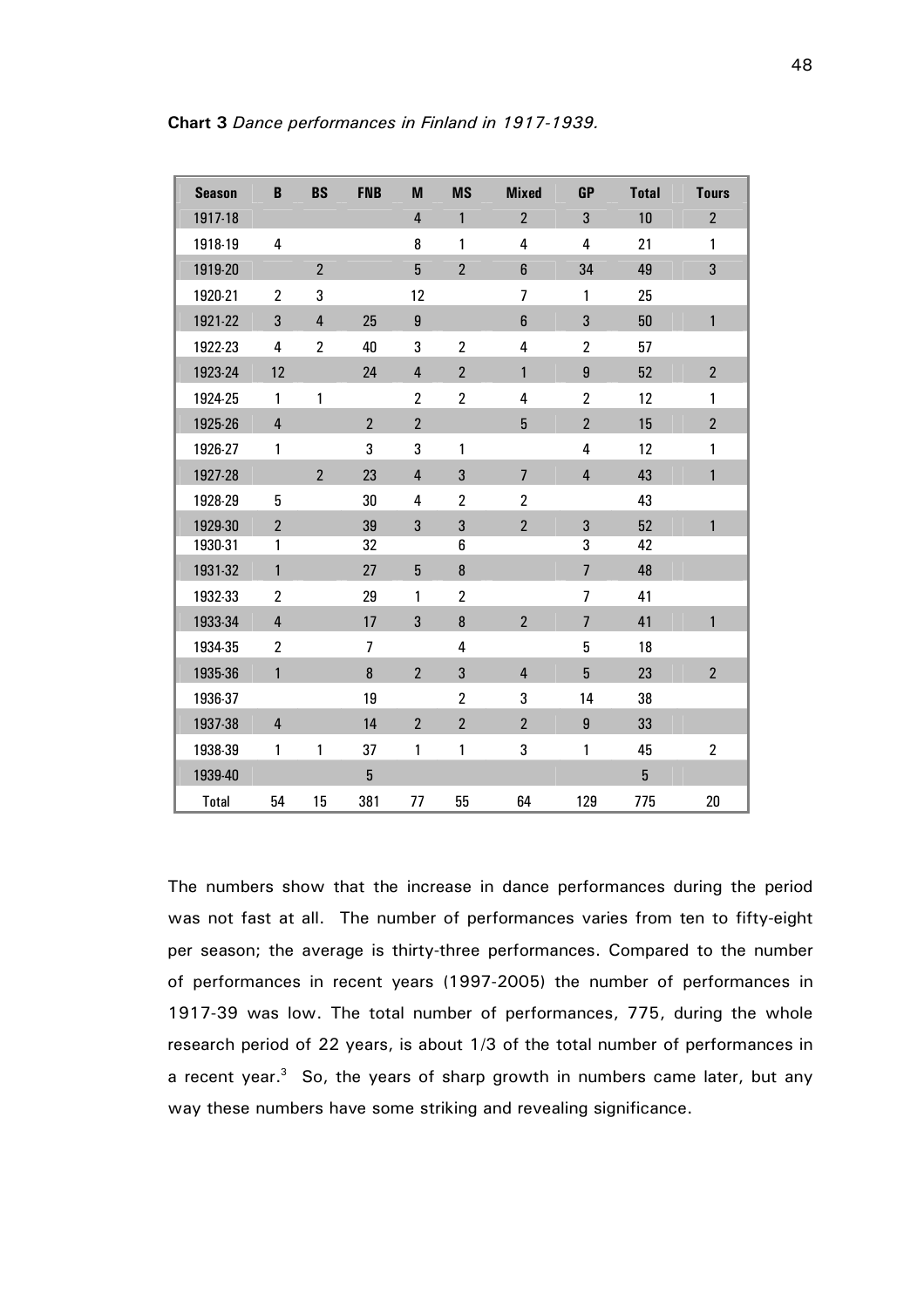| <b>Season</b> | B              | <b>BS</b>      | <b>FNB</b>     | M                | <b>MS</b>      | <b>Mixed</b>   | <b>GP</b>       | <b>Total</b> | <b>Tours</b>   |
|---------------|----------------|----------------|----------------|------------------|----------------|----------------|-----------------|--------------|----------------|
| 1917-18       |                |                |                | $\overline{4}$   | 1              | $\overline{2}$ | 3               | 10           | $\overline{2}$ |
| 1918-19       | 4              |                |                | 8                | 1              | 4              | 4               | 21           | 1              |
| 1919-20       |                | $\overline{2}$ |                | $5\phantom{.0}$  | $\overline{2}$ | 6              | 34              | 49           | 3              |
| 1920-21       | $\overline{2}$ | 3              |                | 12               |                | $\overline{7}$ | 1               | 25           |                |
| 1921-22       | 3              | $\overline{4}$ | 25             | $\boldsymbol{9}$ |                | $6\phantom{1}$ | 3               | 50           | $\mathbf{1}$   |
| 1922-23       | 4              | $\overline{2}$ | 40             | 3                | $\overline{2}$ | 4              | $\overline{2}$  | 57           |                |
| 1923-24       | 12             |                | 24             | $\overline{4}$   | $\overline{2}$ | $\mathbf{1}$   | 9               | 52           | $\overline{2}$ |
| 1924-25       | $\mathbf{1}$   | 1              |                | $\overline{2}$   | $\overline{2}$ | 4              | $\overline{2}$  | 12           | $\mathbf{1}$   |
| 1925-26       | $\overline{4}$ |                | $\overline{2}$ | $\overline{2}$   |                | 5              | $\overline{2}$  | 15           | $\overline{2}$ |
| 1926-27       | $\mathbf{1}$   |                | 3              | 3                | 1              |                | 4               | 12           | 1              |
| 1927-28       |                | $\overline{2}$ | 23             | $\overline{4}$   | 3              | $\overline{7}$ | $\overline{4}$  | 43           | $\mathbf{1}$   |
| 1928-29       | 5              |                | 30             | 4                | $\overline{2}$ | $\overline{2}$ |                 | 43           |                |
| 1929-30       | $\overline{2}$ |                | 39             | 3                | 3              | $\overline{2}$ | 3               | 52           | $\mathbf{1}$   |
| 1930-31       | 1              |                | 32             |                  | 6              |                | 3               | 42           |                |
| 1931-32       | $\mathbf{1}$   |                | 27             | $5\phantom{.0}$  | 8              |                | $\overline{7}$  | 48           |                |
| 1932-33       | $\overline{2}$ |                | 29             | $\mathbf{1}$     | $\overline{2}$ |                | $\overline{7}$  | 41           |                |
| 1933-34       | $\overline{4}$ |                | 17             | 3                | 8              | $\overline{2}$ | $\overline{7}$  | 41           | $\mathbf{1}$   |
| 1934-35       | $\overline{2}$ |                | $\overline{7}$ |                  | 4              |                | 5               | 18           |                |
| 1935-36       | $\mathbf{1}$   |                | 8              | $\overline{2}$   | 3              | $\overline{4}$ | $5\phantom{.0}$ | 23           | $\overline{2}$ |
| 1936-37       |                |                | 19             |                  | $\overline{2}$ | 3              | 14              | 38           |                |
| 1937-38       | $\overline{4}$ |                | 14             | $\overline{2}$   | $\overline{2}$ | $\overline{2}$ | 9               | 33           |                |
| 1938-39       | 1              | 1              | 37             | 1                | 1              | 3              | 1               | 45           | $\overline{2}$ |
| 1939-40       |                |                | 5              |                  |                |                |                 | 5            |                |

The numbers show that the increase in dance performances during the period was not fast at all. The number of performances varies from ten to fifty-eight per season; the average is thirty-three performances. Compared to the number of performances in recent years (1997-2005) the number of performances in 1917-39 was low. The total number of performances, 775, during the whole research period of 22 years, is about 1/3 of the total number of performances in a recent year.<sup>3</sup> So, the years of sharp growth in numbers came later, but any way these numbers have some striking and revealing significance.

Total 54 15 381 77 55 64 129 775 20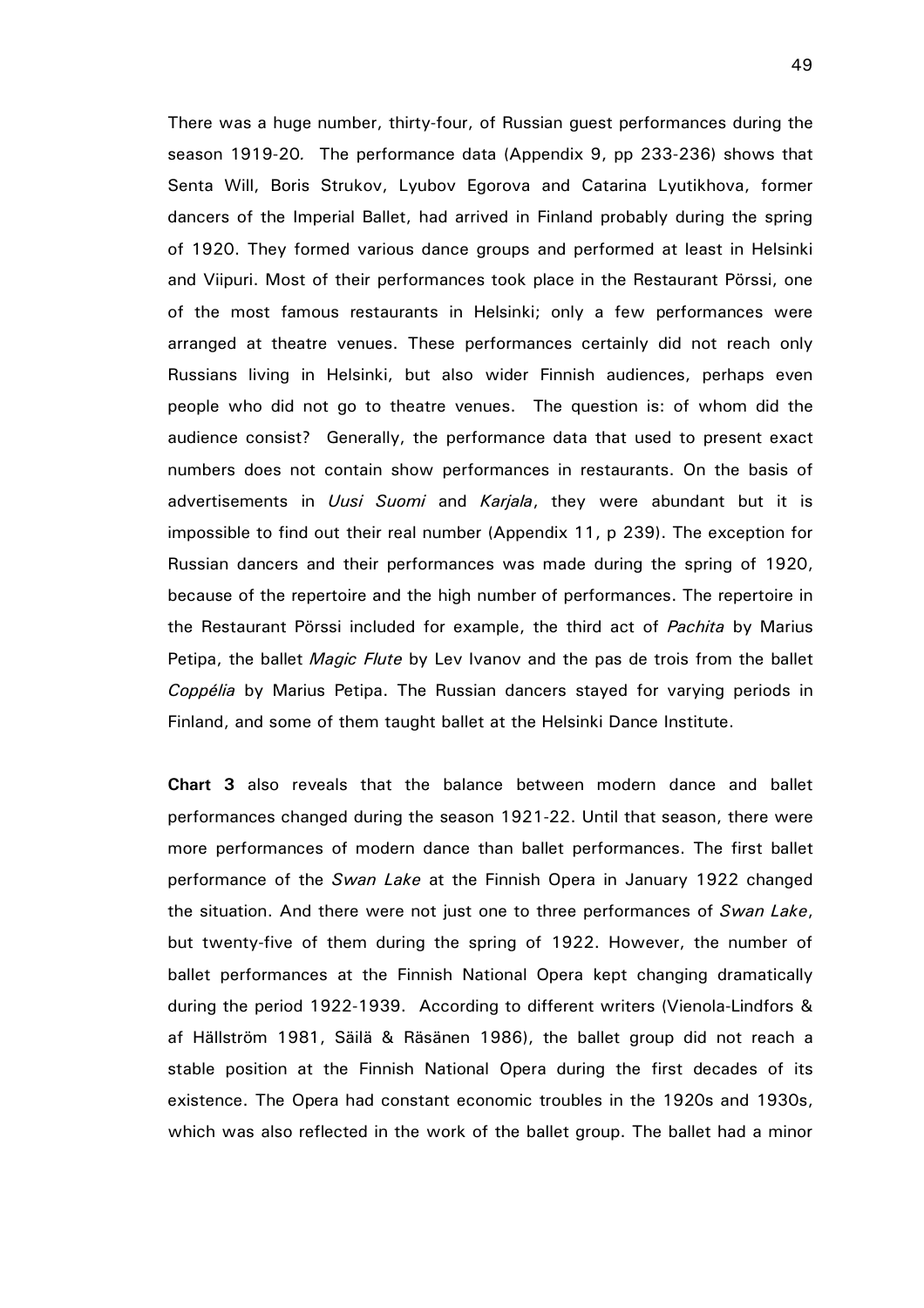There was a huge number, thirty-four, of Russian guest performances during the season 1919-20. The performance data (Appendix 9, pp 233-236) shows that Senta Will, Boris Strukov, Lyubov Egorova and Catarina Lyutikhova, former dancers of the Imperial Ballet, had arrived in Finland probably during the spring of 1920. They formed various dance groups and performed at least in Helsinki and Viipuri. Most of their performances took place in the Restaurant Pörssi, one of the most famous restaurants in Helsinki; only a few performances were arranged at theatre venues. These performances certainly did not reach only Russians living in Helsinki, but also wider Finnish audiences, perhaps even people who did not go to theatre venues. The question is: of whom did the audience consist? Generally, the performance data that used to present exact numbers does not contain show performances in restaurants. On the basis of advertisements in *Uusi Suomi* and Karjala, they were abundant but it is impossible to find out their real number (Appendix 11, p 239). The exception for Russian dancers and their performances was made during the spring of 1920, because of the repertoire and the high number of performances. The repertoire in the Restaurant Pörssi included for example, the third act of *Pachita* by Marius Petipa, the ballet *Magic Flute* by Lev Ivanov and the pas de trois from the ballet Coppélia by Marius Petipa. The Russian dancers stayed for varying periods in Finland, and some of them taught ballet at the Helsinki Dance Institute.

Chart 3 also reveals that the balance between modern dance and ballet performances changed during the season 1921-22. Until that season, there were more performances of modern dance than ballet performances. The first ballet performance of the Swan Lake at the Finnish Opera in January 1922 changed the situation. And there were not just one to three performances of Swan Lake, but twenty-five of them during the spring of 1922. However, the number of ballet performances at the Finnish National Opera kept changing dramatically during the period 1922-1939. According to different writers (Vienola-Lindfors & af Hällström 1981, Säilä & Räsänen 1986), the ballet group did not reach a stable position at the Finnish National Opera during the first decades of its existence. The Opera had constant economic troubles in the 1920s and 1930s, which was also reflected in the work of the ballet group. The ballet had a minor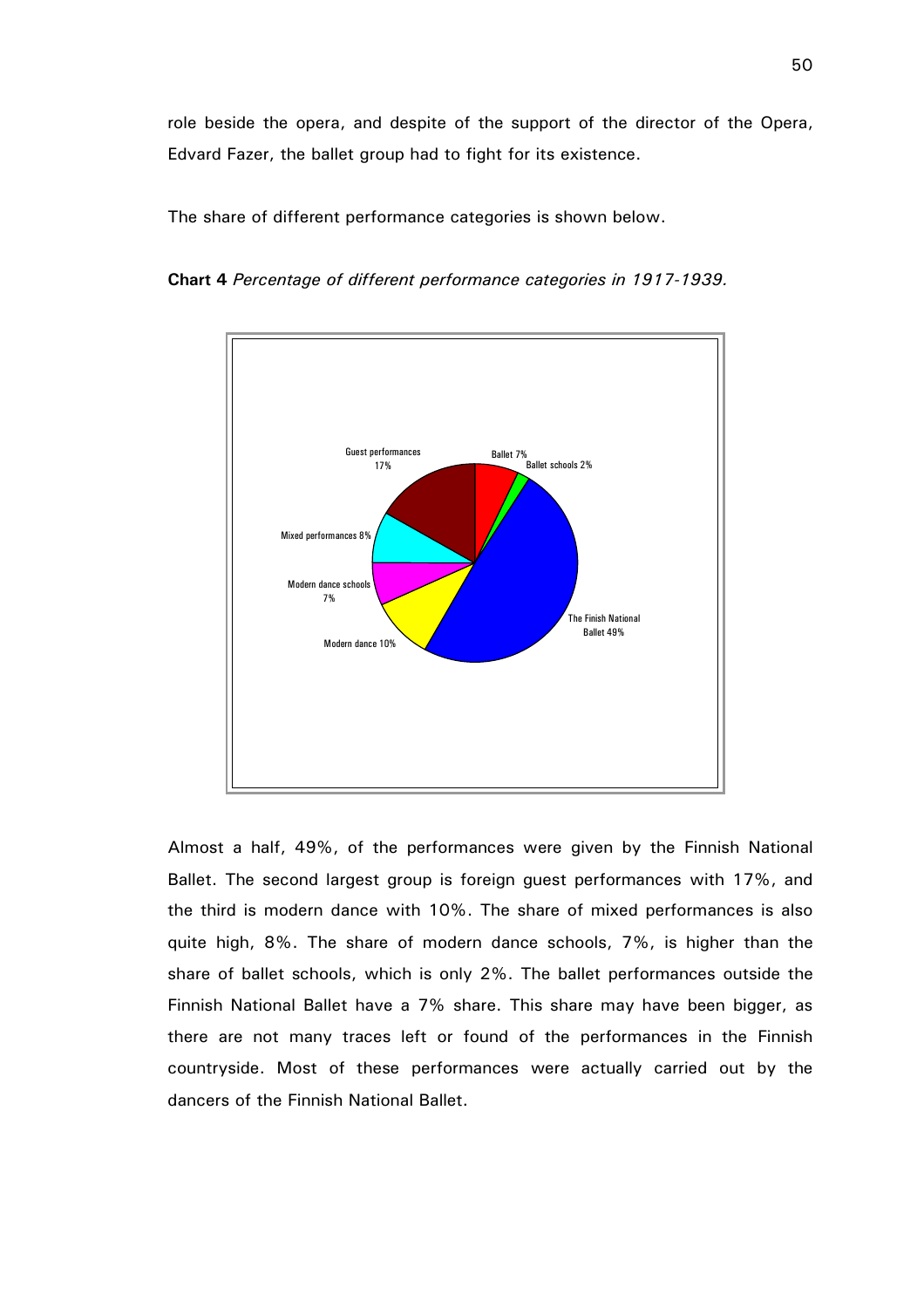role beside the opera, and despite of the support of the director of the Opera, Edvard Fazer, the ballet group had to fight for its existence.

The share of different performance categories is shown below.





Almost a half, 49%, of the performances were given by the Finnish National Ballet. The second largest group is foreign guest performances with 17%, and the third is modern dance with 10%. The share of mixed performances is also quite high, 8%. The share of modern dance schools, 7%, is higher than the share of ballet schools, which is only 2%. The ballet performances outside the Finnish National Ballet have a 7% share. This share may have been bigger, as there are not many traces left or found of the performances in the Finnish countryside. Most of these performances were actually carried out by the dancers of the Finnish National Ballet.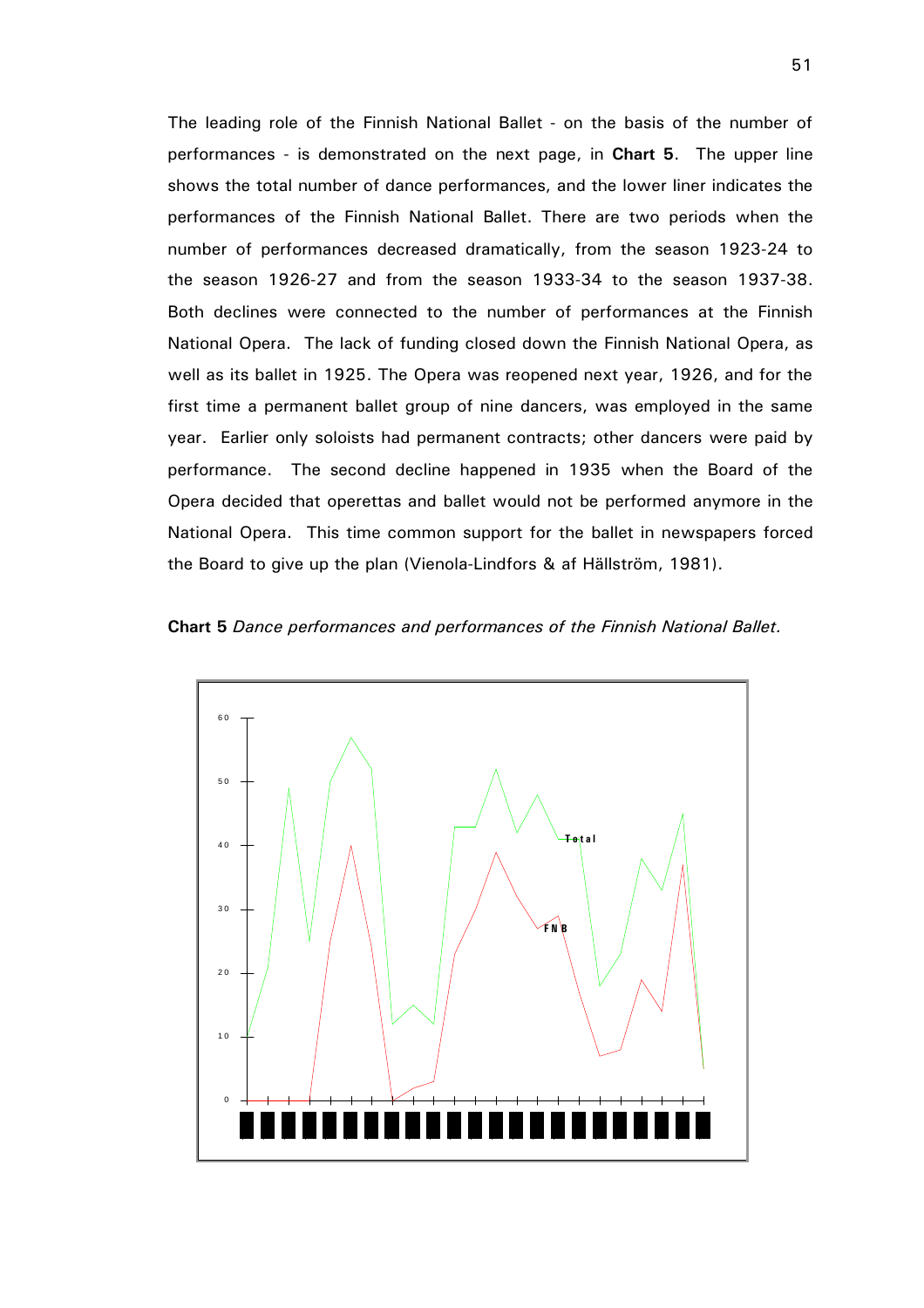The leading role of the Finnish National Ballet - on the basis of the number of performances - is demonstrated on the next page, in Chart 5. The upper line shows the total number of dance performances, and the lower liner indicates the performances of the Finnish National Ballet. There are two periods when the number of performances decreased dramatically, from the season 1923-24 to the season 1926-27 and from the season 1933-34 to the season 1937-38. Both declines were connected to the number of performances at the Finnish National Opera. The lack of funding closed down the Finnish National Opera, as well as its ballet in 1925. The Opera was reopened next year, 1926, and for the first time a permanent ballet group of nine dancers, was employed in the same year. Earlier only soloists had permanent contracts; other dancers were paid by performance. The second decline happened in 1935 when the Board of the Opera decided that operettas and ballet would not be performed anymore in the National Opera. This time common support for the ballet in newspapers forced the Board to give up the plan (Vienola-Lindfors & af Hällström, 1981).



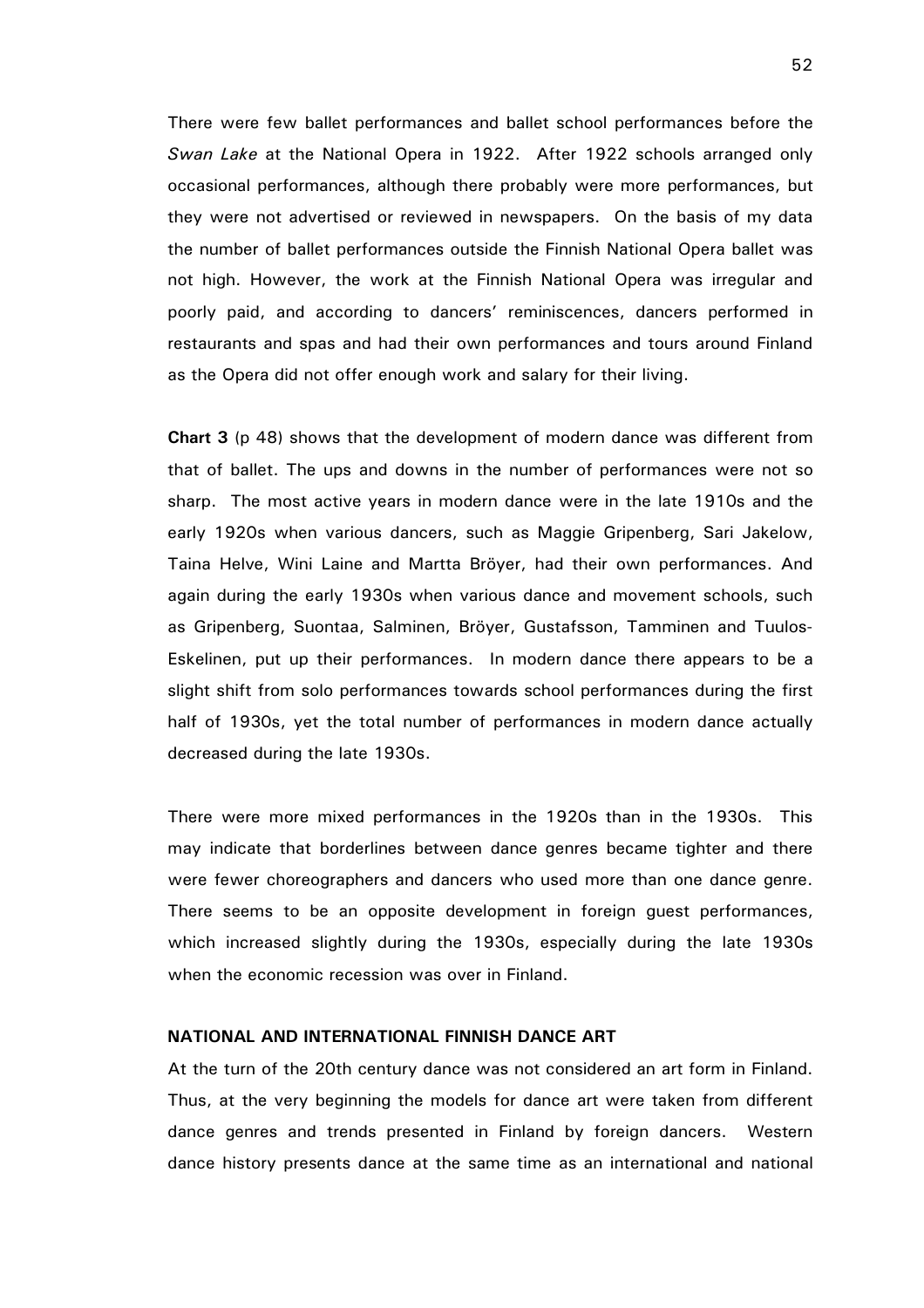There were few ballet performances and ballet school performances before the Swan Lake at the National Opera in 1922. After 1922 schools arranged only occasional performances, although there probably were more performances, but they were not advertised or reviewed in newspapers. On the basis of my data the number of ballet performances outside the Finnish National Opera ballet was not high. However, the work at the Finnish National Opera was irregular and poorly paid, and according to dancers' reminiscences, dancers performed in restaurants and spas and had their own performances and tours around Finland as the Opera did not offer enough work and salary for their living.

Chart 3 (p 48) shows that the development of modern dance was different from that of ballet. The ups and downs in the number of performances were not so sharp. The most active years in modern dance were in the late 1910s and the early 1920s when various dancers, such as Maggie Gripenberg, Sari Jakelow, Taina Helve, Wini Laine and Martta Bröyer, had their own performances. And again during the early 1930s when various dance and movement schools, such as Gripenberg, Suontaa, Salminen, Bröyer, Gustafsson, Tamminen and Tuulos-Eskelinen, put up their performances. In modern dance there appears to be a slight shift from solo performances towards school performances during the first half of 1930s, yet the total number of performances in modern dance actually decreased during the late 1930s.

There were more mixed performances in the 1920s than in the 1930s. This may indicate that borderlines between dance genres became tighter and there were fewer choreographers and dancers who used more than one dance genre. There seems to be an opposite development in foreign guest performances, which increased slightly during the 1930s, especially during the late 1930s when the economic recession was over in Finland.

#### NATIONAL AND INTERNATIONAL FINNISH DANCE ART

At the turn of the 20th century dance was not considered an art form in Finland. Thus, at the very beginning the models for dance art were taken from different dance genres and trends presented in Finland by foreign dancers. Western dance history presents dance at the same time as an international and national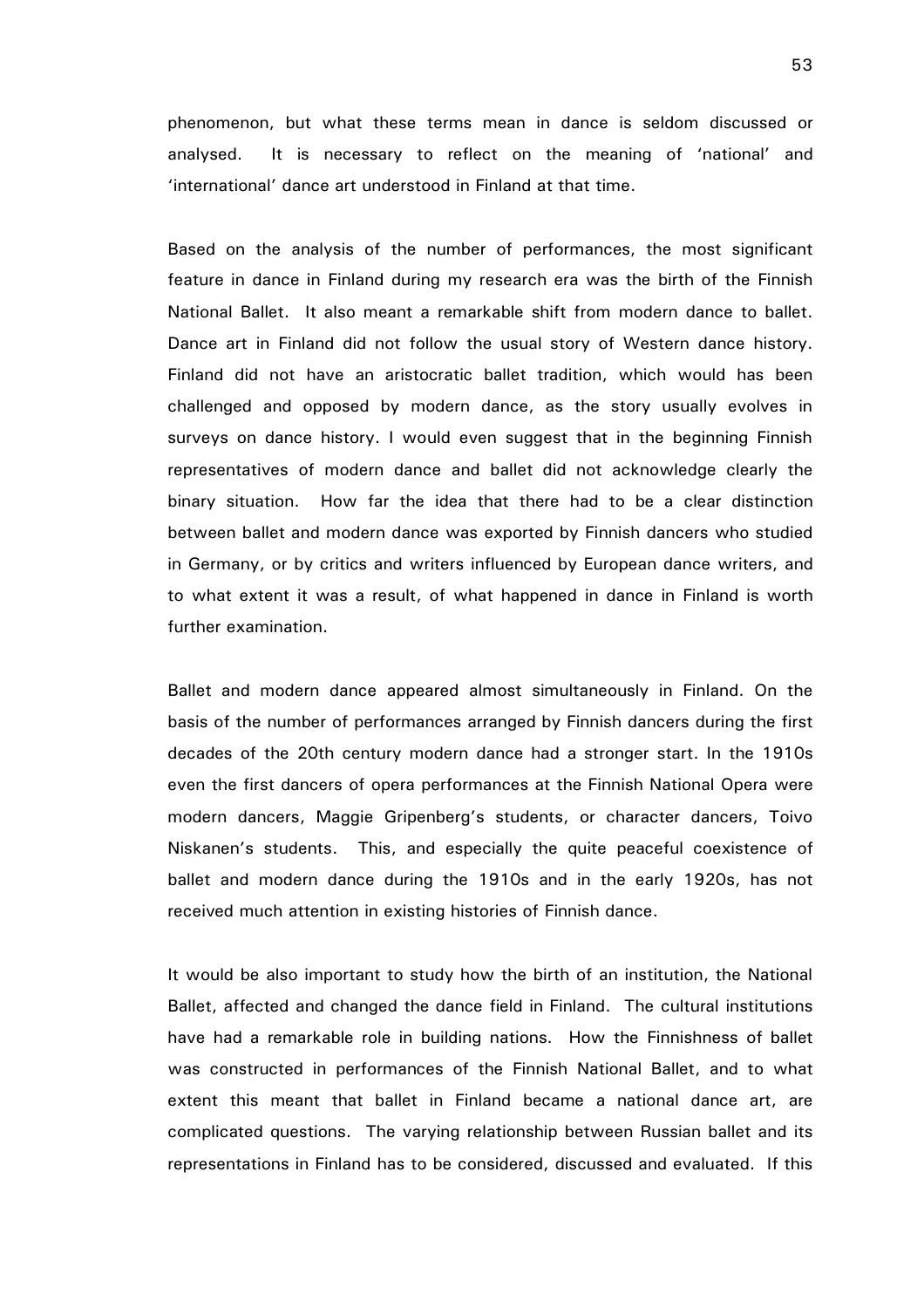phenomenon, but what these terms mean in dance is seldom discussed or analysed. It is necessary to reflect on the meaning of 'national' and 'international' dance art understood in Finland at that time.

Based on the analysis of the number of performances, the most significant feature in dance in Finland during my research era was the birth of the Finnish National Ballet. It also meant a remarkable shift from modern dance to ballet. Dance art in Finland did not follow the usual story of Western dance history. Finland did not have an aristocratic ballet tradition, which would has been challenged and opposed by modern dance, as the story usually evolves in surveys on dance history. I would even suggest that in the beginning Finnish representatives of modern dance and ballet did not acknowledge clearly the binary situation. How far the idea that there had to be a clear distinction between ballet and modern dance was exported by Finnish dancers who studied in Germany, or by critics and writers influenced by European dance writers, and to what extent it was a result, of what happened in dance in Finland is worth further examination.

Ballet and modern dance appeared almost simultaneously in Finland. On the basis of the number of performances arranged by Finnish dancers during the first decades of the 20th century modern dance had a stronger start. In the 1910s even the first dancers of opera performances at the Finnish National Opera were modern dancers, Maggie Gripenberg's students, or character dancers, Toivo Niskanen's students. This, and especially the quite peaceful coexistence of ballet and modern dance during the 1910s and in the early 1920s, has not received much attention in existing histories of Finnish dance.

It would be also important to study how the birth of an institution, the National Ballet, affected and changed the dance field in Finland. The cultural institutions have had a remarkable role in building nations. How the Finnishness of ballet was constructed in performances of the Finnish National Ballet, and to what extent this meant that ballet in Finland became a national dance art, are complicated questions. The varying relationship between Russian ballet and its representations in Finland has to be considered, discussed and evaluated. If this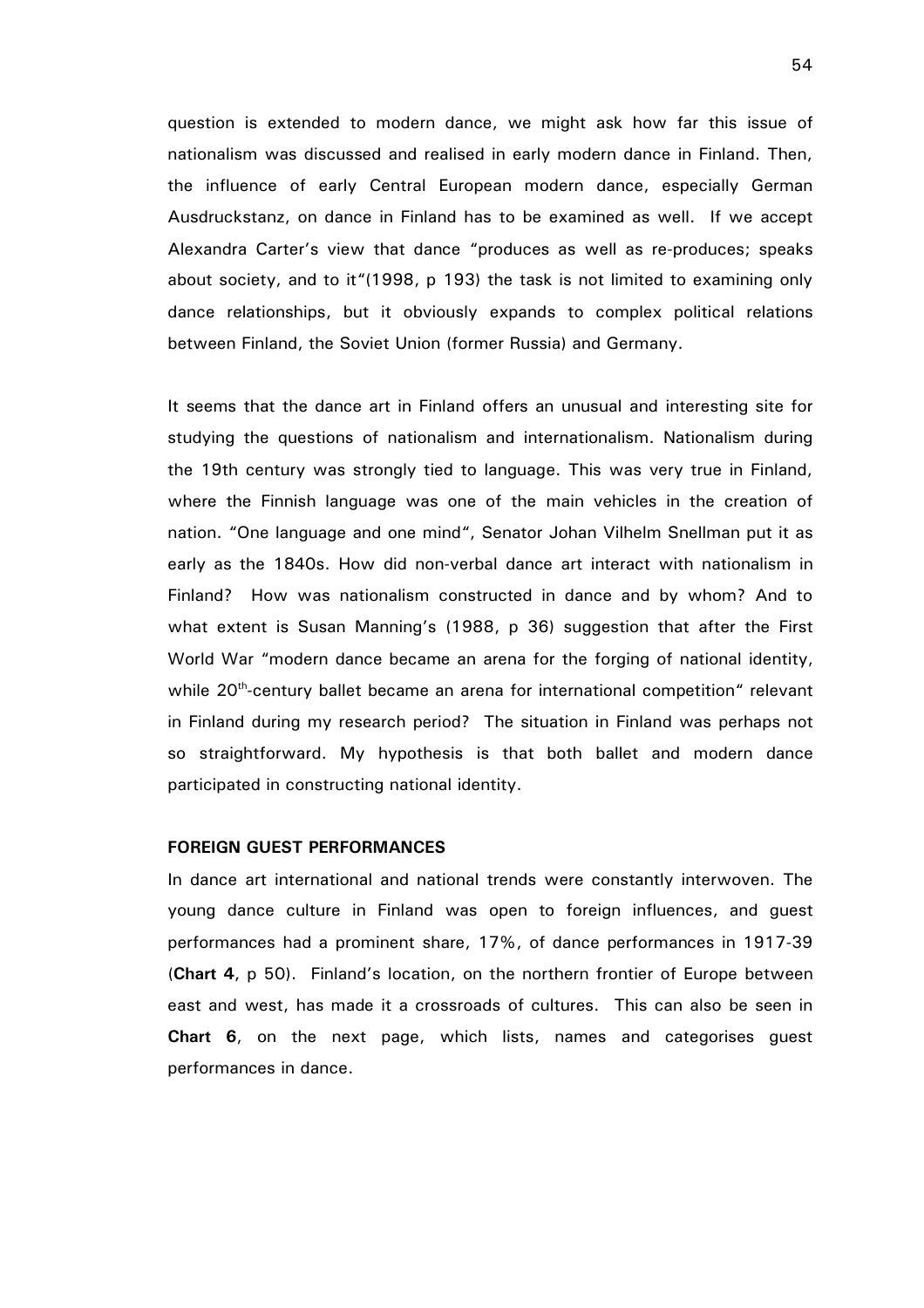question is extended to modern dance, we might ask how far this issue of nationalism was discussed and realised in early modern dance in Finland. Then, the influence of early Central European modern dance, especially German Ausdruckstanz, on dance in Finland has to be examined as well. If we accept Alexandra Carter's view that dance "produces as well as re-produces; speaks about society, and to it"(1998, p 193) the task is not limited to examining only dance relationships, but it obviously expands to complex political relations between Finland, the Soviet Union (former Russia) and Germany.

It seems that the dance art in Finland offers an unusual and interesting site for studying the questions of nationalism and internationalism. Nationalism during the 19th century was strongly tied to language. This was very true in Finland, where the Finnish language was one of the main vehicles in the creation of nation. "One language and one mind", Senator Johan Vilhelm Snellman put it as early as the 1840s. How did non-verbal dance art interact with nationalism in Finland? How was nationalism constructed in dance and by whom? And to what extent is Susan Manning's (1988, p 36) suggestion that after the First World War "modern dance became an arena for the forging of national identity, while 20<sup>th</sup>-century ballet became an arena for international competition" relevant in Finland during my research period? The situation in Finland was perhaps not so straightforward. My hypothesis is that both ballet and modern dance participated in constructing national identity.

## FOREIGN GUEST PERFORMANCES

In dance art international and national trends were constantly interwoven. The young dance culture in Finland was open to foreign influences, and guest performances had a prominent share, 17%, of dance performances in 1917-39 (Chart 4, p 50). Finland's location, on the northern frontier of Europe between east and west, has made it a crossroads of cultures. This can also be seen in Chart 6, on the next page, which lists, names and categorises guest performances in dance.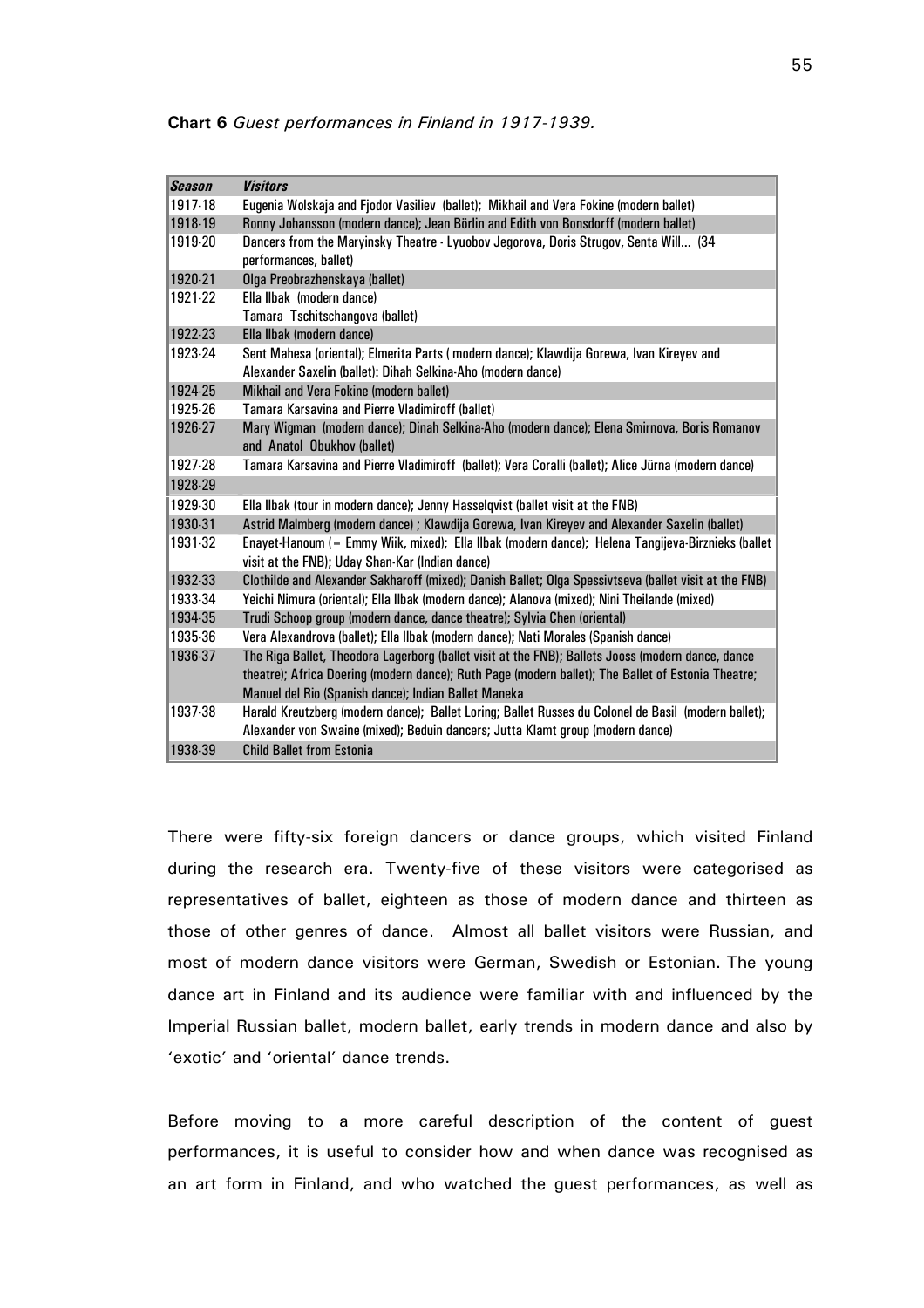| <b>Season</b> | <b><i>Visitors</i></b>                                                                                |
|---------------|-------------------------------------------------------------------------------------------------------|
| 1917-18       | Eugenia Wolskaja and Fjodor Vasiliev (ballet); Mikhail and Vera Fokine (modern ballet)                |
| 1918-19       | Ronny Johansson (modern dance); Jean Börlin and Edith von Bonsdorff (modern ballet)                   |
| 1919-20       | Dancers from the Maryinsky Theatre - Lyuobov Jegorova, Doris Strugov, Senta Will (34                  |
|               | performances, ballet)                                                                                 |
| 1920-21       | Olga Preobrazhenskaya (ballet)                                                                        |
| 1921-22       | Ella Ilbak (modern dance)                                                                             |
|               | Tamara Tschitschangova (ballet)                                                                       |
| 1922-23       | Ella Ilbak (modern dance)                                                                             |
| 1923-24       | Sent Mahesa (oriental); Elmerita Parts (modern dance); Klawdija Gorewa, Ivan Kireyev and              |
|               | Alexander Saxelin (ballet): Dihah Selkina-Aho (modern dance)                                          |
| 1924-25       | Mikhail and Vera Fokine (modern ballet)                                                               |
| 1925-26       | <b>Tamara Karsavina and Pierre Vladimiroff (ballet)</b>                                               |
| 1926-27       | Mary Wigman (modern dance); Dinah Selkina-Aho (modern dance); Elena Smirnova, Boris Romanov           |
|               | and Anatol Obukhov (ballet)                                                                           |
| 1927-28       | Tamara Karsavina and Pierre Vladimiroff (ballet); Vera Coralli (ballet); Alice Jürna (modern dance)   |
| 1928-29       |                                                                                                       |
| 1929-30       | Ella Ilbak (tour in modern dance); Jenny Hasselqvist (ballet visit at the FNB)                        |
| 1930-31       | Astrid Malmberg (modern dance) ; Klawdija Gorewa, Ivan Kireyev and Alexander Saxelin (ballet)         |
| 1931-32       | Enayet-Hanoum (= Emmy Wiik, mixed); Ella Ilbak (modern dance); Helena Tangijeva-Birznieks (ballet     |
|               | visit at the FNB); Uday Shan-Kar (Indian dance)                                                       |
| 1932-33       | Clothilde and Alexander Sakharoff (mixed); Danish Ballet; Olga Spessivtseva (ballet visit at the FNB) |
| 1933-34       | Yeichi Nimura (oriental); Ella Ilbak (modern dance); Alanova (mixed); Nini Theilande (mixed)          |
| 1934-35       | Trudi Schoop group (modern dance, dance theatre); Sylvia Chen (oriental)                              |
| 1935-36       | Vera Alexandrova (ballet); Ella Ilbak (modern dance); Nati Morales (Spanish dance)                    |
| 1936-37       | The Riga Ballet, Theodora Lagerborg (ballet visit at the FNB); Ballets Jooss (modern dance, dance     |
|               | theatre); Africa Doering (modern dance); Ruth Page (modern ballet); The Ballet of Estonia Theatre;    |
|               | Manuel del Rio (Spanish dance); Indian Ballet Maneka                                                  |
| 1937-38       | Harald Kreutzberg (modern dance); Ballet Loring; Ballet Russes du Colonel de Basil (modern ballet);   |
|               | Alexander von Swaine (mixed); Beduin dancers; Jutta Klamt group (modern dance)                        |
| 1938-39       | <b>Child Ballet from Estonia</b>                                                                      |

Chart 6 Guest performances in Finland in 1917-1939.

There were fifty-six foreign dancers or dance groups, which visited Finland during the research era. Twenty-five of these visitors were categorised as representatives of ballet, eighteen as those of modern dance and thirteen as those of other genres of dance. Almost all ballet visitors were Russian, and most of modern dance visitors were German, Swedish or Estonian. The young dance art in Finland and its audience were familiar with and influenced by the Imperial Russian ballet, modern ballet, early trends in modern dance and also by 'exotic' and 'oriental' dance trends.

Before moving to a more careful description of the content of guest performances, it is useful to consider how and when dance was recognised as an art form in Finland, and who watched the guest performances, as well as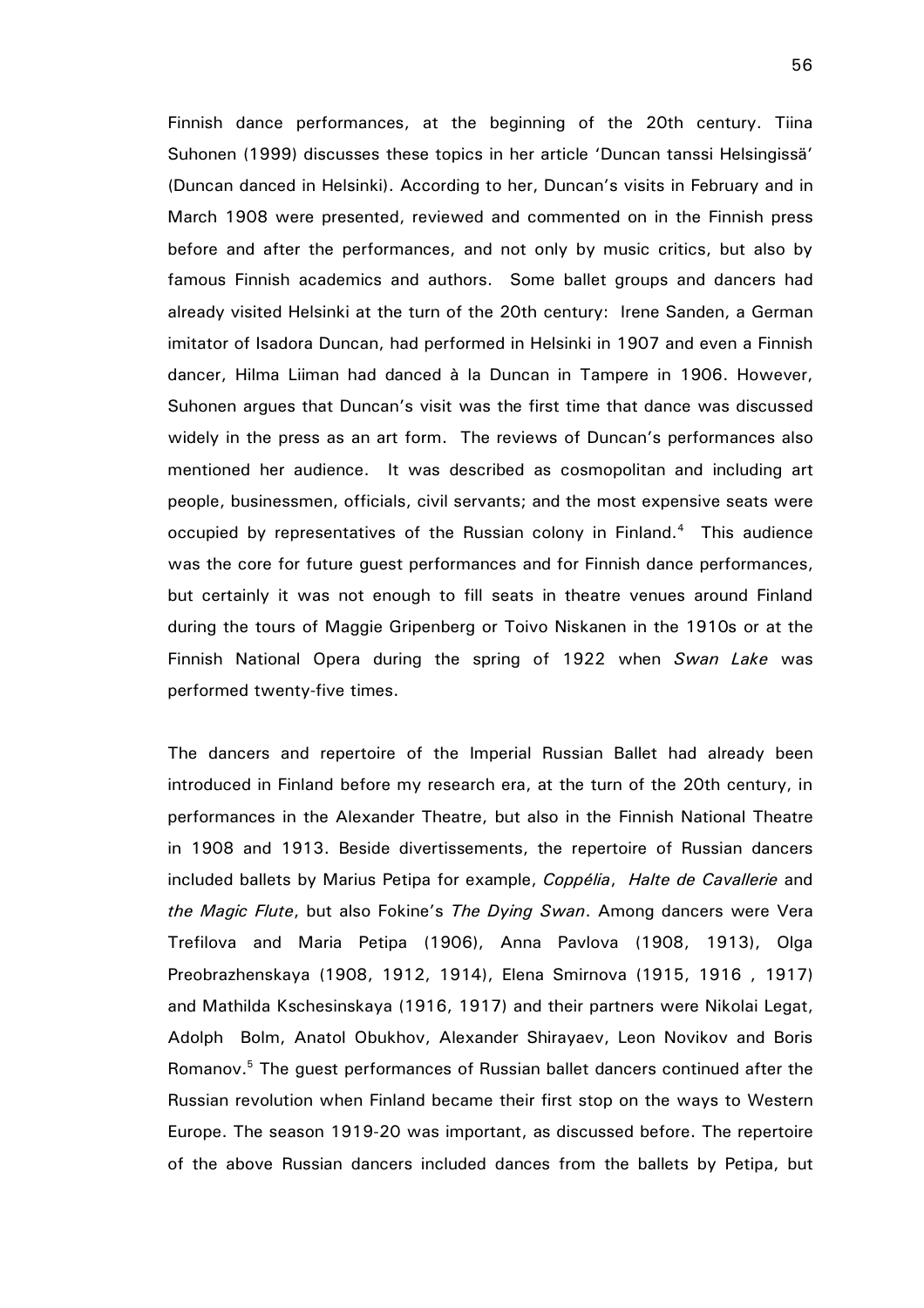Finnish dance performances, at the beginning of the 20th century. Tiina Suhonen (1999) discusses these topics in her article 'Duncan tanssi Helsingissä' (Duncan danced in Helsinki). According to her, Duncan's visits in February and in March 1908 were presented, reviewed and commented on in the Finnish press before and after the performances, and not only by music critics, but also by famous Finnish academics and authors. Some ballet groups and dancers had already visited Helsinki at the turn of the 20th century: Irene Sanden, a German imitator of Isadora Duncan, had performed in Helsinki in 1907 and even a Finnish dancer, Hilma Liiman had danced à la Duncan in Tampere in 1906. However, Suhonen argues that Duncan's visit was the first time that dance was discussed widely in the press as an art form. The reviews of Duncan's performances also mentioned her audience. It was described as cosmopolitan and including art people, businessmen, officials, civil servants; and the most expensive seats were occupied by representatives of the Russian colony in Finland.<sup>4</sup> This audience was the core for future guest performances and for Finnish dance performances, but certainly it was not enough to fill seats in theatre venues around Finland during the tours of Maggie Gripenberg or Toivo Niskanen in the 1910s or at the Finnish National Opera during the spring of 1922 when Swan Lake was performed twenty-five times.

The dancers and repertoire of the Imperial Russian Ballet had already been introduced in Finland before my research era, at the turn of the 20th century, in performances in the Alexander Theatre, but also in the Finnish National Theatre in 1908 and 1913. Beside divertissements, the repertoire of Russian dancers included ballets by Marius Petipa for example, Coppélia, Halte de Cavallerie and the Magic Flute, but also Fokine's The Dying Swan. Among dancers were Vera Trefilova and Maria Petipa (1906), Anna Pavlova (1908, 1913), Olga Preobrazhenskaya (1908, 1912, 1914), Elena Smirnova (1915, 1916 , 1917) and Mathilda Kschesinskaya (1916, 1917) and their partners were Nikolai Legat, Adolph Bolm, Anatol Obukhov, Alexander Shirayaev, Leon Novikov and Boris Romanov.<sup>5</sup> The guest performances of Russian ballet dancers continued after the Russian revolution when Finland became their first stop on the ways to Western Europe. The season 1919-20 was important, as discussed before. The repertoire of the above Russian dancers included dances from the ballets by Petipa, but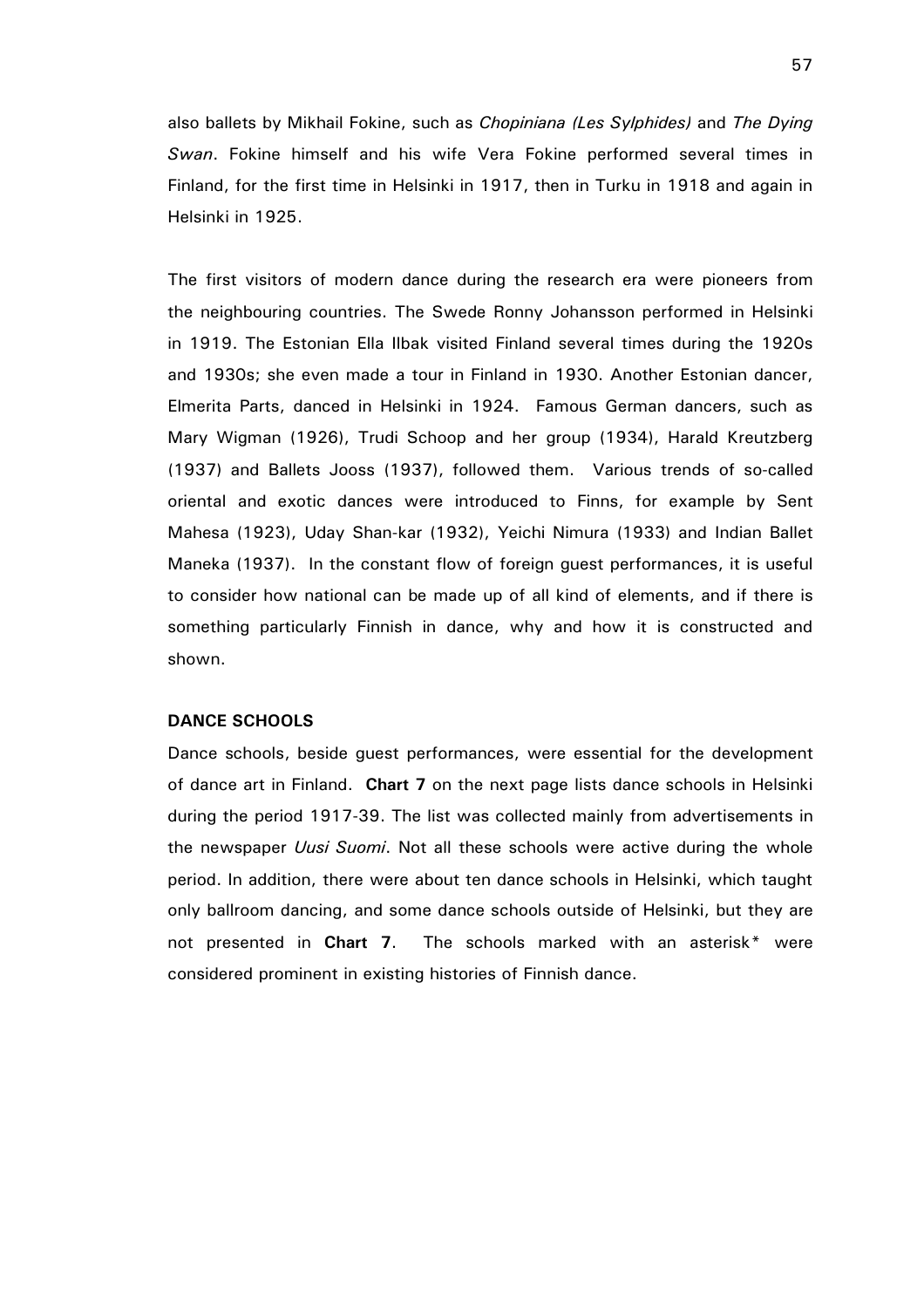also ballets by Mikhail Fokine, such as *Chopiniana (Les Sylphides)* and *The Dying* Swan. Fokine himself and his wife Vera Fokine performed several times in Finland, for the first time in Helsinki in 1917, then in Turku in 1918 and again in Helsinki in 1925.

The first visitors of modern dance during the research era were pioneers from the neighbouring countries. The Swede Ronny Johansson performed in Helsinki in 1919. The Estonian Ella Ilbak visited Finland several times during the 1920s and 1930s; she even made a tour in Finland in 1930. Another Estonian dancer, Elmerita Parts, danced in Helsinki in 1924. Famous German dancers, such as Mary Wigman (1926), Trudi Schoop and her group (1934), Harald Kreutzberg (1937) and Ballets Jooss (1937), followed them. Various trends of so-called oriental and exotic dances were introduced to Finns, for example by Sent Mahesa (1923), Uday Shan-kar (1932), Yeichi Nimura (1933) and Indian Ballet Maneka (1937). In the constant flow of foreign guest performances, it is useful to consider how national can be made up of all kind of elements, and if there is something particularly Finnish in dance, why and how it is constructed and shown.

## DANCE SCHOOLS

Dance schools, beside guest performances, were essential for the development of dance art in Finland. Chart 7 on the next page lists dance schools in Helsinki during the period 1917-39. The list was collected mainly from advertisements in the newspaper *Uusi Suomi*. Not all these schools were active during the whole period. In addition, there were about ten dance schools in Helsinki, which taught only ballroom dancing, and some dance schools outside of Helsinki, but they are not presented in Chart 7. The schools marked with an asterisk\* were considered prominent in existing histories of Finnish dance.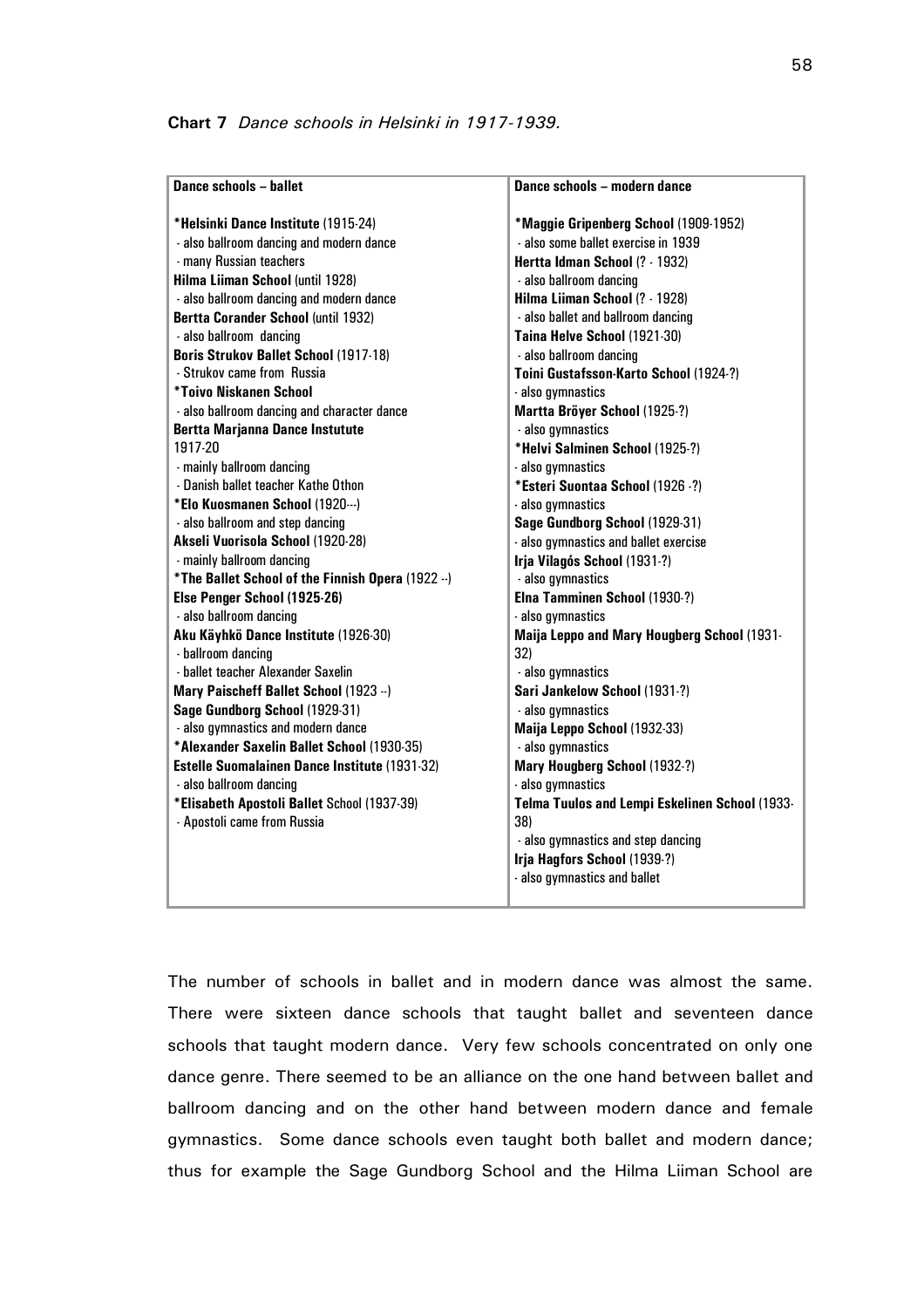| Dance schools - ballet                                                                                | Dance schools - modern dance                                                                                                                                                     |
|-------------------------------------------------------------------------------------------------------|----------------------------------------------------------------------------------------------------------------------------------------------------------------------------------|
| *Helsinki Dance Institute (1915-24)                                                                   | *Maggie Gripenberg School (1909-1952)                                                                                                                                            |
| - also ballroom dancing and modern dance                                                              | - also some ballet exercise in 1939                                                                                                                                              |
| - many Russian teachers                                                                               | Hertta Idman School (? - 1932)                                                                                                                                                   |
| Hilma Liiman School (until 1928)                                                                      | - also ballroom dancing                                                                                                                                                          |
| - also ballroom dancing and modern dance                                                              | Hilma Liiman School (? - 1928)                                                                                                                                                   |
| Bertta Corander School (until 1932)                                                                   | - also ballet and ballroom dancing                                                                                                                                               |
| - also ballroom dancing                                                                               | Taina Helve School (1921-30)                                                                                                                                                     |
| <b>Boris Strukov Ballet School (1917-18)</b>                                                          | - also ballroom dancing                                                                                                                                                          |
| - Strukov came from Russia                                                                            | Toini Gustafsson-Karto School (1924-?)                                                                                                                                           |
| *Toivo Niskanen School                                                                                | - also gymnastics                                                                                                                                                                |
| - also ballroom dancing and character dance                                                           | Martta Bröyer School (1925-?)                                                                                                                                                    |
| <b>Bertta Marjanna Dance Instutute</b>                                                                | - also gymnastics                                                                                                                                                                |
| 1917-20                                                                                               | *Helvi Salminen School (1925-?)                                                                                                                                                  |
| - mainly ballroom dancing                                                                             | - also gymnastics                                                                                                                                                                |
| - Danish ballet teacher Kathe Othon                                                                   | *Esteri Suontaa School (1926 -?)                                                                                                                                                 |
| *Elo Kuosmanen School (1920---)                                                                       | - also gymnastics                                                                                                                                                                |
| - also ballroom and step dancing                                                                      | Sage Gundborg School (1929-31)                                                                                                                                                   |
| Akseli Vuorisola School (1920-28)                                                                     | - also gymnastics and ballet exercise                                                                                                                                            |
| - mainly ballroom dancing                                                                             | Irja Vilagós School (1931-?)                                                                                                                                                     |
| *The Ballet School of the Finnish Opera (1922 --)                                                     | - also gymnastics                                                                                                                                                                |
| Else Penger School (1925-26)                                                                          | Elna Tamminen School (1930-?)                                                                                                                                                    |
| - also ballroom dancing                                                                               | - also gymnastics                                                                                                                                                                |
| Aku Käyhkö Dance Institute (1926-30)                                                                  | Maija Leppo and Mary Hougberg School (1931-                                                                                                                                      |
| - ballroom dancing                                                                                    | 32)                                                                                                                                                                              |
| - ballet teacher Alexander Saxelin                                                                    | - also gymnastics                                                                                                                                                                |
| Mary Paischeff Ballet School (1923 --)                                                                | Sari Jankelow School (1931-?)                                                                                                                                                    |
| Sage Gundborg School (1929-31)                                                                        | - also gymnastics                                                                                                                                                                |
| - also gymnastics and modern dance                                                                    | Maija Leppo School (1932-33)                                                                                                                                                     |
| * Alexander Saxelin Ballet School (1930-35)                                                           | - also gymnastics                                                                                                                                                                |
| <b>Estelle Suomalainen Dance Institute (1931-32)</b>                                                  | Mary Hougberg School (1932-?)                                                                                                                                                    |
| - also ballroom dancing<br>*Elisabeth Apostoli Ballet School (1937-39)<br>- Apostoli came from Russia | - also gymnastics<br>Telma Tuulos and Lempi Eskelinen School (1933-<br>38)<br>- also gymnastics and step dancing<br>Irja Hagfors School (1939-?)<br>- also gymnastics and ballet |

The number of schools in ballet and in modern dance was almost the same. There were sixteen dance schools that taught ballet and seventeen dance schools that taught modern dance. Very few schools concentrated on only one dance genre. There seemed to be an alliance on the one hand between ballet and ballroom dancing and on the other hand between modern dance and female gymnastics. Some dance schools even taught both ballet and modern dance; thus for example the Sage Gundborg School and the Hilma Liiman School are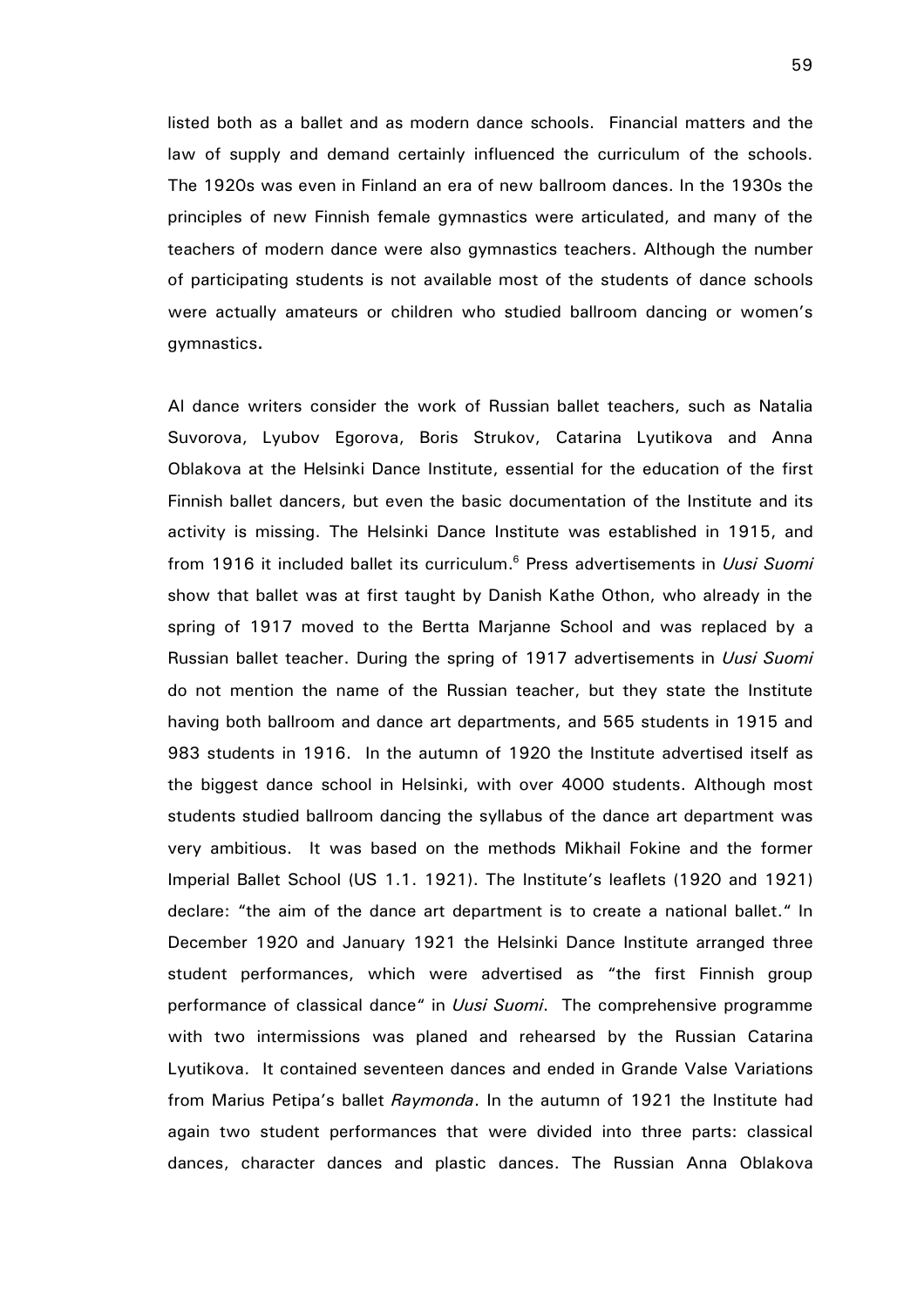listed both as a ballet and as modern dance schools. Financial matters and the law of supply and demand certainly influenced the curriculum of the schools. The 1920s was even in Finland an era of new ballroom dances. In the 1930s the principles of new Finnish female gymnastics were articulated, and many of the teachers of modern dance were also gymnastics teachers. Although the number of participating students is not available most of the students of dance schools were actually amateurs or children who studied ballroom dancing or women's gymnastics.

Al dance writers consider the work of Russian ballet teachers, such as Natalia Suvorova, Lyubov Egorova, Boris Strukov, Catarina Lyutikova and Anna Oblakova at the Helsinki Dance Institute, essential for the education of the first Finnish ballet dancers, but even the basic documentation of the Institute and its activity is missing. The Helsinki Dance Institute was established in 1915, and from 1916 it included ballet its curriculum.<sup>6</sup> Press advertisements in *Uusi Suomi* show that ballet was at first taught by Danish Kathe Othon, who already in the spring of 1917 moved to the Bertta Marjanne School and was replaced by a Russian ballet teacher. During the spring of 1917 advertisements in *Uusi Suomi* do not mention the name of the Russian teacher, but they state the Institute having both ballroom and dance art departments, and 565 students in 1915 and 983 students in 1916. In the autumn of 1920 the Institute advertised itself as the biggest dance school in Helsinki, with over 4000 students. Although most students studied ballroom dancing the syllabus of the dance art department was very ambitious. It was based on the methods Mikhail Fokine and the former Imperial Ballet School (US 1.1. 1921). The Institute's leaflets (1920 and 1921) declare: "the aim of the dance art department is to create a national ballet." In December 1920 and January 1921 the Helsinki Dance Institute arranged three student performances, which were advertised as "the first Finnish group performance of classical dance" in *Uusi Suomi*. The comprehensive programme with two intermissions was planed and rehearsed by the Russian Catarina Lyutikova. It contained seventeen dances and ended in Grande Valse Variations from Marius Petipa's ballet Raymonda. In the autumn of 1921 the Institute had again two student performances that were divided into three parts: classical dances, character dances and plastic dances. The Russian Anna Oblakova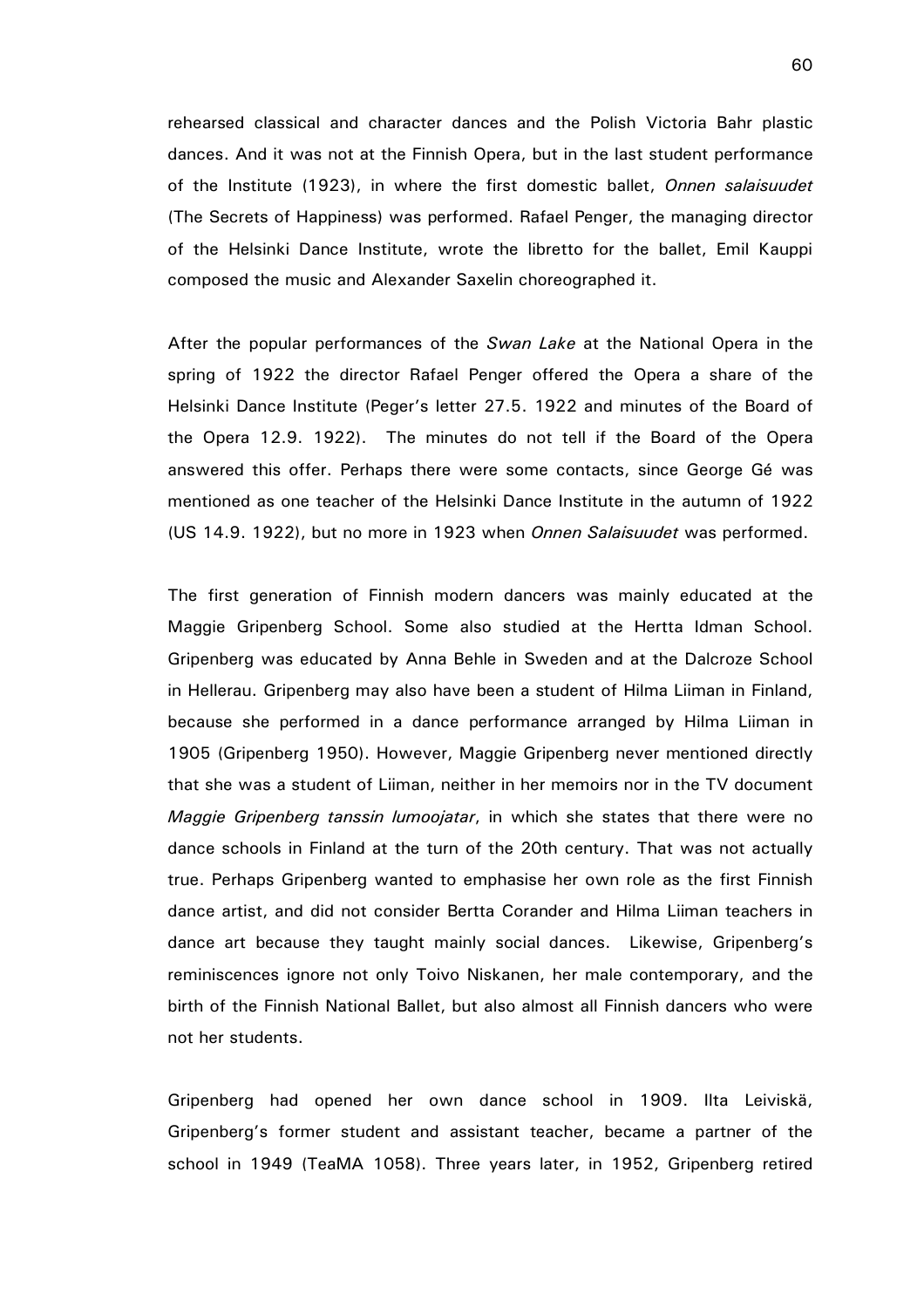rehearsed classical and character dances and the Polish Victoria Bahr plastic dances. And it was not at the Finnish Opera, but in the last student performance of the Institute (1923), in where the first domestic ballet, Onnen salaisuudet (The Secrets of Happiness) was performed. Rafael Penger, the managing director of the Helsinki Dance Institute, wrote the libretto for the ballet, Emil Kauppi composed the music and Alexander Saxelin choreographed it.

After the popular performances of the Swan Lake at the National Opera in the spring of 1922 the director Rafael Penger offered the Opera a share of the Helsinki Dance Institute (Peger's letter 27.5. 1922 and minutes of the Board of the Opera 12.9. 1922). The minutes do not tell if the Board of the Opera answered this offer. Perhaps there were some contacts, since George Gé was mentioned as one teacher of the Helsinki Dance Institute in the autumn of 1922 (US 14.9. 1922), but no more in 1923 when Onnen Salaisuudet was performed.

The first generation of Finnish modern dancers was mainly educated at the Maggie Gripenberg School. Some also studied at the Hertta Idman School. Gripenberg was educated by Anna Behle in Sweden and at the Dalcroze School in Hellerau. Gripenberg may also have been a student of Hilma Liiman in Finland, because she performed in a dance performance arranged by Hilma Liiman in 1905 (Gripenberg 1950). However, Maggie Gripenberg never mentioned directly that she was a student of Liiman, neither in her memoirs nor in the TV document Maggie Gripenberg tanssin lumoojatar, in which she states that there were no dance schools in Finland at the turn of the 20th century. That was not actually true. Perhaps Gripenberg wanted to emphasise her own role as the first Finnish dance artist, and did not consider Bertta Corander and Hilma Liiman teachers in dance art because they taught mainly social dances. Likewise, Gripenberg's reminiscences ignore not only Toivo Niskanen, her male contemporary, and the birth of the Finnish National Ballet, but also almost all Finnish dancers who were not her students.

Gripenberg had opened her own dance school in 1909. Ilta Leiviskä, Gripenberg's former student and assistant teacher, became a partner of the school in 1949 (TeaMA 1058). Three years later, in 1952, Gripenberg retired

60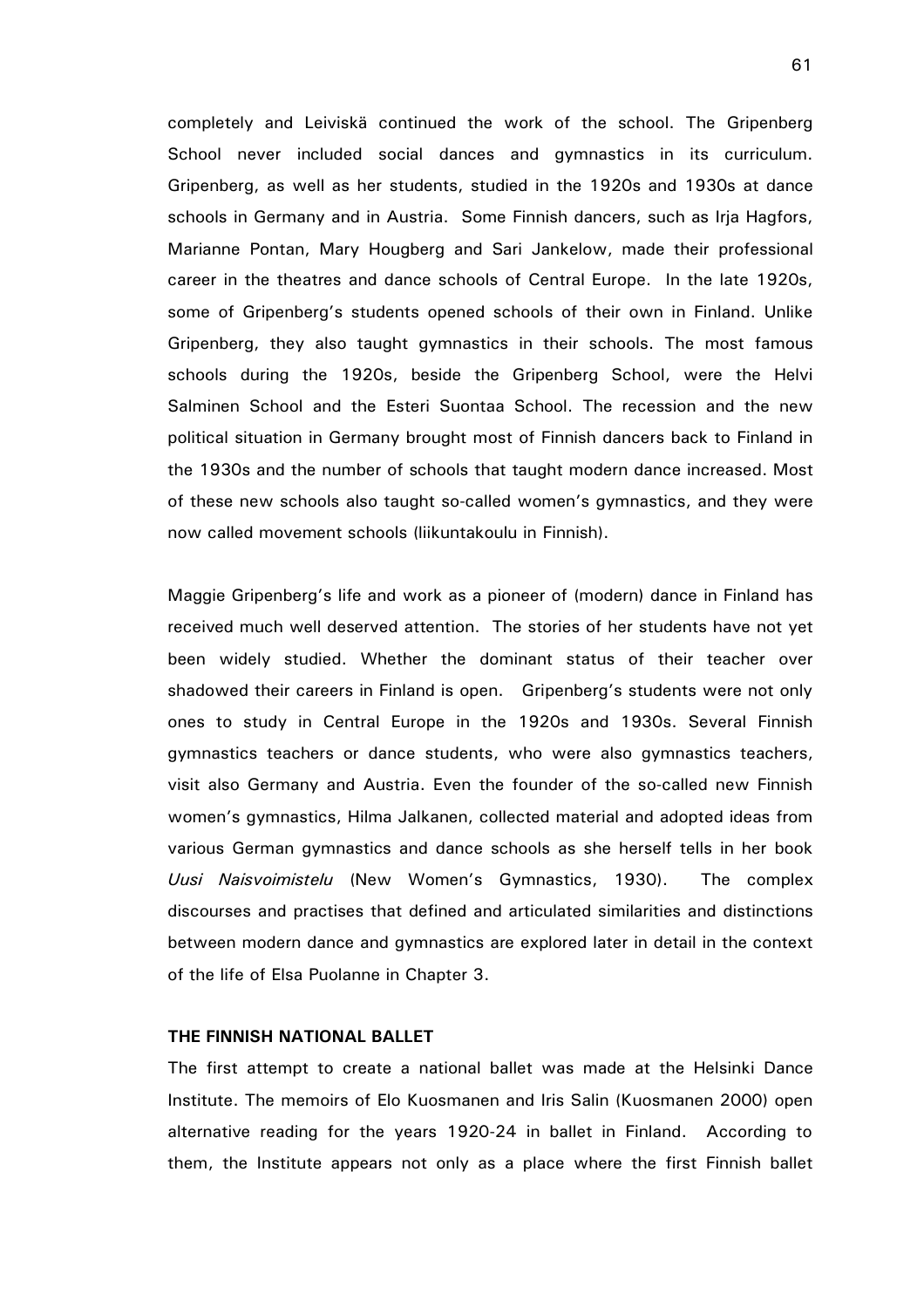completely and Leiviskä continued the work of the school. The Gripenberg School never included social dances and gymnastics in its curriculum. Gripenberg, as well as her students, studied in the 1920s and 1930s at dance schools in Germany and in Austria. Some Finnish dancers, such as Irja Hagfors, Marianne Pontan, Mary Hougberg and Sari Jankelow, made their professional career in the theatres and dance schools of Central Europe. In the late 1920s, some of Gripenberg's students opened schools of their own in Finland. Unlike Gripenberg, they also taught gymnastics in their schools. The most famous schools during the 1920s, beside the Gripenberg School, were the Helvi Salminen School and the Esteri Suontaa School. The recession and the new political situation in Germany brought most of Finnish dancers back to Finland in the 1930s and the number of schools that taught modern dance increased. Most of these new schools also taught so-called women's gymnastics, and they were now called movement schools (liikuntakoulu in Finnish).

Maggie Gripenberg's life and work as a pioneer of (modern) dance in Finland has received much well deserved attention. The stories of her students have not yet been widely studied. Whether the dominant status of their teacher over shadowed their careers in Finland is open. Gripenberg's students were not only ones to study in Central Europe in the 1920s and 1930s. Several Finnish gymnastics teachers or dance students, who were also gymnastics teachers, visit also Germany and Austria. Even the founder of the so-called new Finnish women's gymnastics, Hilma Jalkanen, collected material and adopted ideas from various German gymnastics and dance schools as she herself tells in her book Uusi Naisvoimistelu (New Women's Gymnastics, 1930). The complex discourses and practises that defined and articulated similarities and distinctions between modern dance and gymnastics are explored later in detail in the context of the life of Elsa Puolanne in Chapter 3.

#### THE FINNISH NATIONAL BALLET

The first attempt to create a national ballet was made at the Helsinki Dance Institute. The memoirs of Elo Kuosmanen and Iris Salin (Kuosmanen 2000) open alternative reading for the years 1920-24 in ballet in Finland. According to them, the Institute appears not only as a place where the first Finnish ballet

61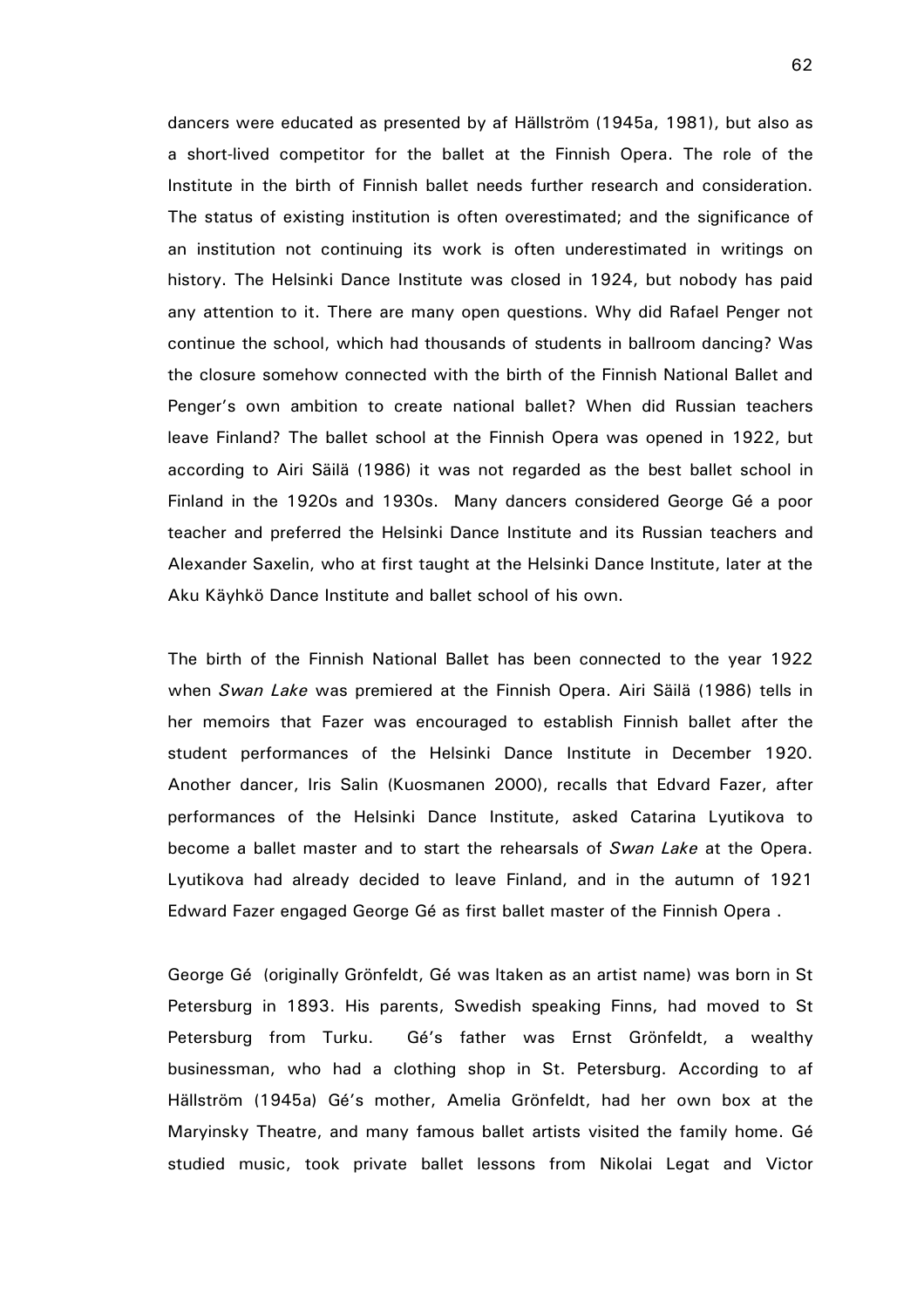dancers were educated as presented by af Hällström (1945a, 1981), but also as a short-lived competitor for the ballet at the Finnish Opera. The role of the Institute in the birth of Finnish ballet needs further research and consideration. The status of existing institution is often overestimated; and the significance of an institution not continuing its work is often underestimated in writings on history. The Helsinki Dance Institute was closed in 1924, but nobody has paid any attention to it. There are many open questions. Why did Rafael Penger not continue the school, which had thousands of students in ballroom dancing? Was the closure somehow connected with the birth of the Finnish National Ballet and Penger's own ambition to create national ballet? When did Russian teachers leave Finland? The ballet school at the Finnish Opera was opened in 1922, but according to Airi Säilä (1986) it was not regarded as the best ballet school in Finland in the 1920s and 1930s. Many dancers considered George Gé a poor teacher and preferred the Helsinki Dance Institute and its Russian teachers and Alexander Saxelin, who at first taught at the Helsinki Dance Institute, later at the Aku Käyhkö Dance Institute and ballet school of his own.

The birth of the Finnish National Ballet has been connected to the year 1922 when Swan Lake was premiered at the Finnish Opera. Airi Säilä (1986) tells in her memoirs that Fazer was encouraged to establish Finnish ballet after the student performances of the Helsinki Dance Institute in December 1920. Another dancer, Iris Salin (Kuosmanen 2000), recalls that Edvard Fazer, after performances of the Helsinki Dance Institute, asked Catarina Lyutikova to become a ballet master and to start the rehearsals of Swan Lake at the Opera. Lyutikova had already decided to leave Finland, and in the autumn of 1921 Edward Fazer engaged George Gé as first ballet master of the Finnish Opera .

George Gé (originally Grönfeldt, Gé was ltaken as an artist name) was born in St Petersburg in 1893. His parents, Swedish speaking Finns, had moved to St Petersburg from Turku. Gé's father was Ernst Grönfeldt, a wealthy businessman, who had a clothing shop in St. Petersburg. According to af Hällström (1945a) Gé's mother, Amelia Grönfeldt, had her own box at the Maryinsky Theatre, and many famous ballet artists visited the family home. Gé studied music, took private ballet lessons from Nikolai Legat and Victor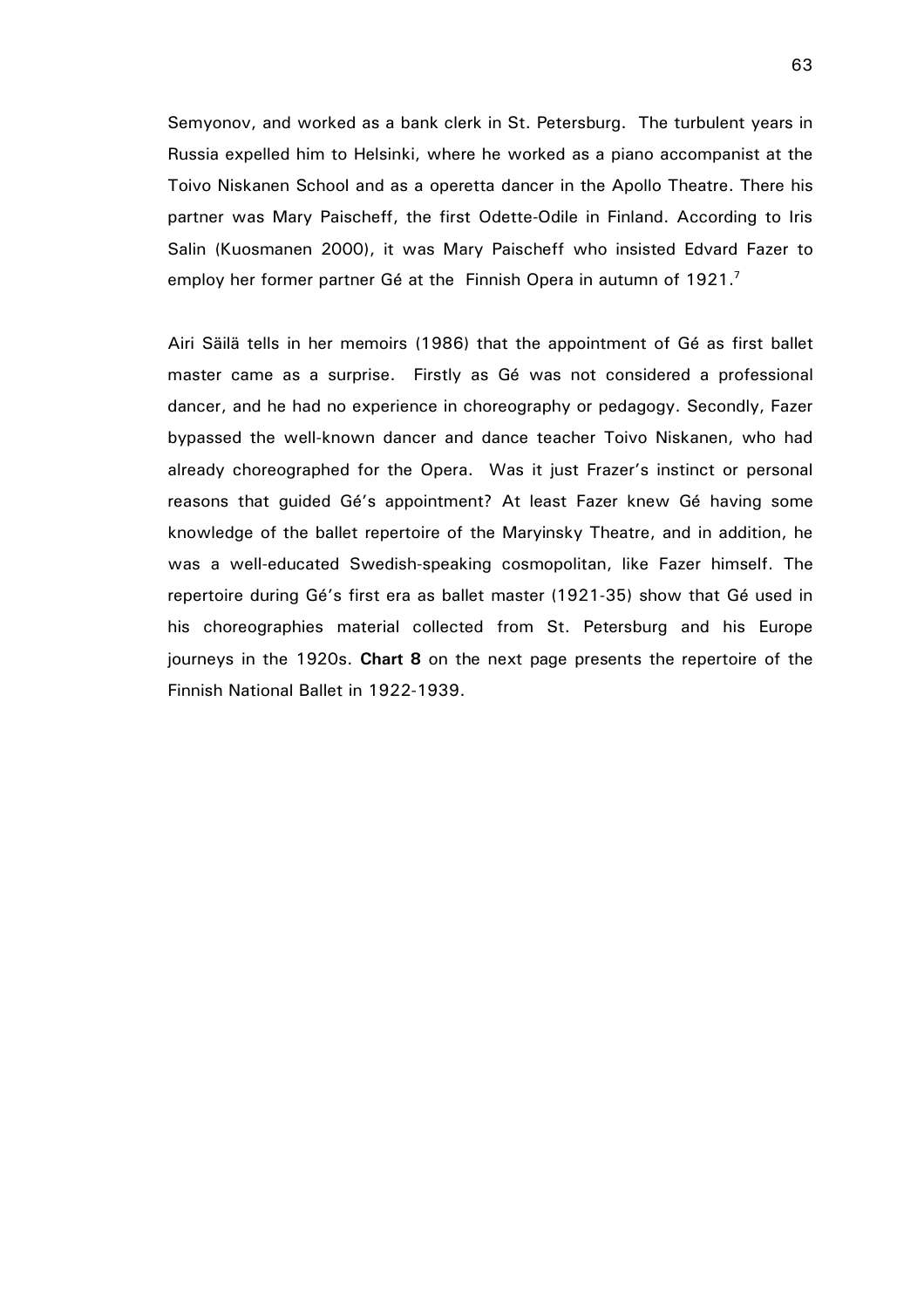Semyonov, and worked as a bank clerk in St. Petersburg. The turbulent years in Russia expelled him to Helsinki, where he worked as a piano accompanist at the Toivo Niskanen School and as a operetta dancer in the Apollo Theatre. There his partner was Mary Paischeff, the first Odette-Odile in Finland. According to Iris Salin (Kuosmanen 2000), it was Mary Paischeff who insisted Edvard Fazer to employ her former partner Gé at the Finnish Opera in autumn of 1921.<sup>7</sup>

Airi Säilä tells in her memoirs (1986) that the appointment of Gé as first ballet master came as a surprise. Firstly as Gé was not considered a professional dancer, and he had no experience in choreography or pedagogy. Secondly, Fazer bypassed the well-known dancer and dance teacher Toivo Niskanen, who had already choreographed for the Opera. Was it just Frazer's instinct or personal reasons that guided Gé's appointment? At least Fazer knew Gé having some knowledge of the ballet repertoire of the Maryinsky Theatre, and in addition, he was a well-educated Swedish-speaking cosmopolitan, like Fazer himself. The repertoire during Gé's first era as ballet master (1921-35) show that Gé used in his choreographies material collected from St. Petersburg and his Europe journeys in the 1920s. Chart 8 on the next page presents the repertoire of the Finnish National Ballet in 1922-1939.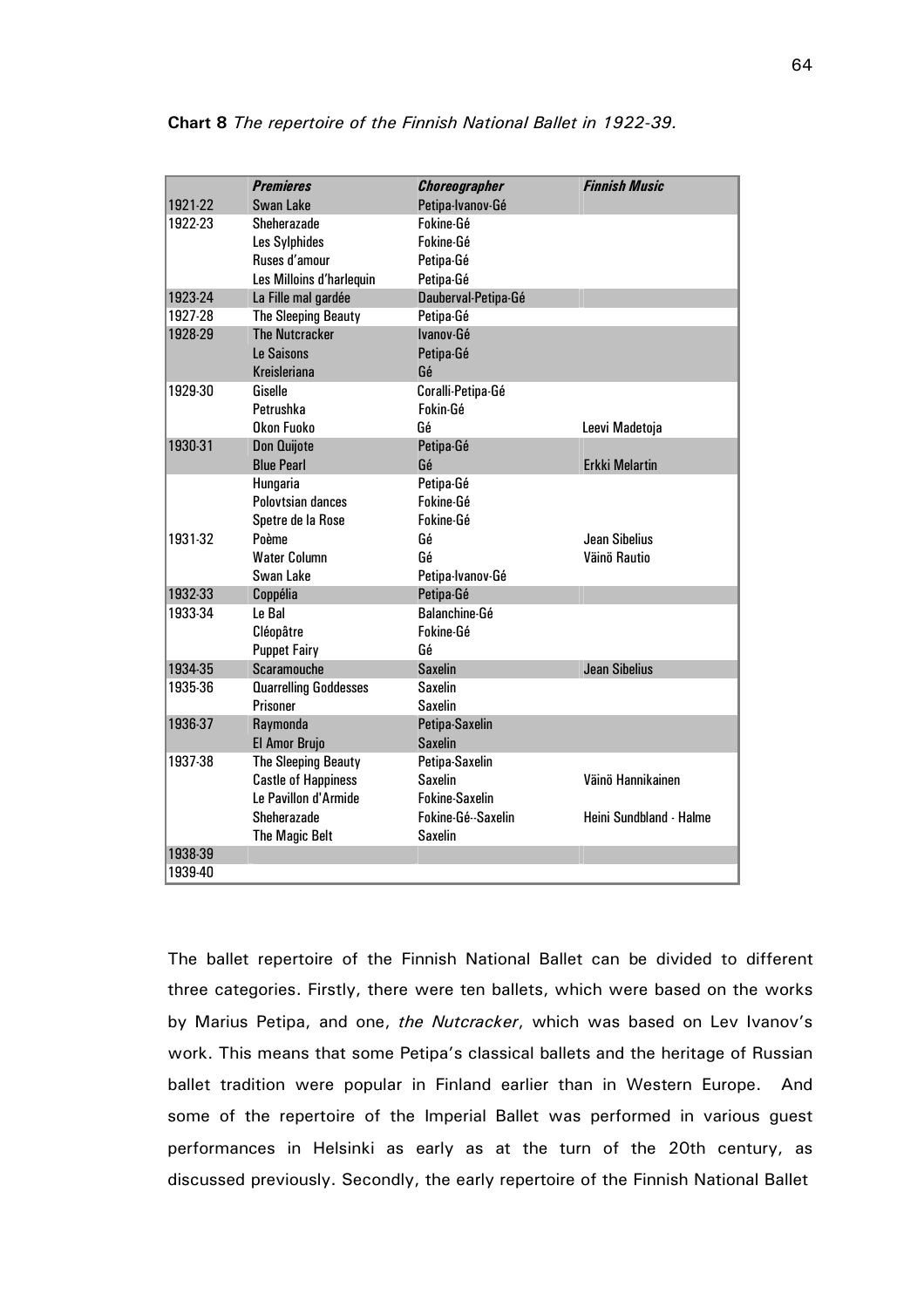|         | <b>Premieres</b>             | <b>Choreographer</b>  | <b>Finnish Music</b>    |
|---------|------------------------------|-----------------------|-------------------------|
| 1921-22 | Swan Lake                    | Petipa-Ivanov-Gé      |                         |
| 1922-23 | <b>Sheherazade</b>           | Fokine-Gé             |                         |
|         | Les Sylphides                | Fokine-Gé             |                         |
|         | Ruses d'amour                | Petipa-Gé             |                         |
|         | Les Milloins d'harlequin     | Petipa-Gé             |                         |
| 1923-24 | La Fille mal gardée          | Dauberval-Petipa-Gé   |                         |
| 1927-28 | <b>The Sleeping Beauty</b>   | Petipa-Gé             |                         |
| 1928-29 | <b>The Nutcracker</b>        | Ivanov-Gé             |                         |
|         | Le Saisons                   | Petipa-Gé             |                         |
|         | <b>Kreisleriana</b>          | Gé                    |                         |
| 1929-30 | Giselle                      | Coralli-Petipa-Gé     |                         |
|         | Petrushka                    | Fokin Gé              |                         |
|         | Okon Fuoko                   | Gé                    | Leevi Madetoja          |
| 1930-31 | Don Quijote                  | Petipa-Gé             |                         |
|         | <b>Blue Pearl</b>            | Gé                    | <b>Erkki Melartin</b>   |
|         | Hungaria                     | Petipa-Gé             |                         |
|         | <b>Polovtsian dances</b>     | Fokine-Gé             |                         |
|         | Spetre de la Rose            | Fokine-Gé             |                         |
| 1931-32 | Poème                        | Gé                    | <b>Jean Sibelius</b>    |
|         | <b>Water Column</b>          | Gé                    | Väinö Rautio            |
|         | Swan Lake                    | Petipa-Ivanov-Gé      |                         |
| 1932-33 | Coppélia                     | Petipa-Gé             |                         |
| 1933-34 | Le Bal                       | Balanchine-Gé         |                         |
|         | Cléopâtre                    | Fokine-Gé             |                         |
|         | <b>Puppet Fairy</b>          | Gé                    |                         |
| 1934-35 | <b>Scaramouche</b>           | <b>Saxelin</b>        | <b>Jean Sibelius</b>    |
| 1935-36 | <b>Quarrelling Goddesses</b> | Saxelin               |                         |
|         | Prisoner                     | <b>Saxelin</b>        |                         |
| 1936-37 | Raymonda                     | Petipa-Saxelin        |                         |
|         | El Amor Brujo                | <b>Saxelin</b>        |                         |
| 1937-38 | <b>The Sleeping Beauty</b>   | Petipa-Saxelin        |                         |
|         | <b>Castle of Happiness</b>   | <b>Saxelin</b>        | Väinö Hannikainen       |
|         | Le Pavillon d'Armide         | <b>Fokine-Saxelin</b> |                         |
|         | <b>Sheherazade</b>           | Fokine-Gé--Saxelin    | Heini Sundbland - Halme |
|         | <b>The Magic Belt</b>        | <b>Saxelin</b>        |                         |
| 1938-39 |                              |                       |                         |
| 1939-40 |                              |                       |                         |

Chart 8 The repertoire of the Finnish National Ballet in 1922-39.

The ballet repertoire of the Finnish National Ballet can be divided to different three categories. Firstly, there were ten ballets, which were based on the works by Marius Petipa, and one, the Nutcracker, which was based on Lev Ivanov's work. This means that some Petipa's classical ballets and the heritage of Russian ballet tradition were popular in Finland earlier than in Western Europe. And some of the repertoire of the Imperial Ballet was performed in various guest performances in Helsinki as early as at the turn of the 20th century, as discussed previously. Secondly, the early repertoire of the Finnish National Ballet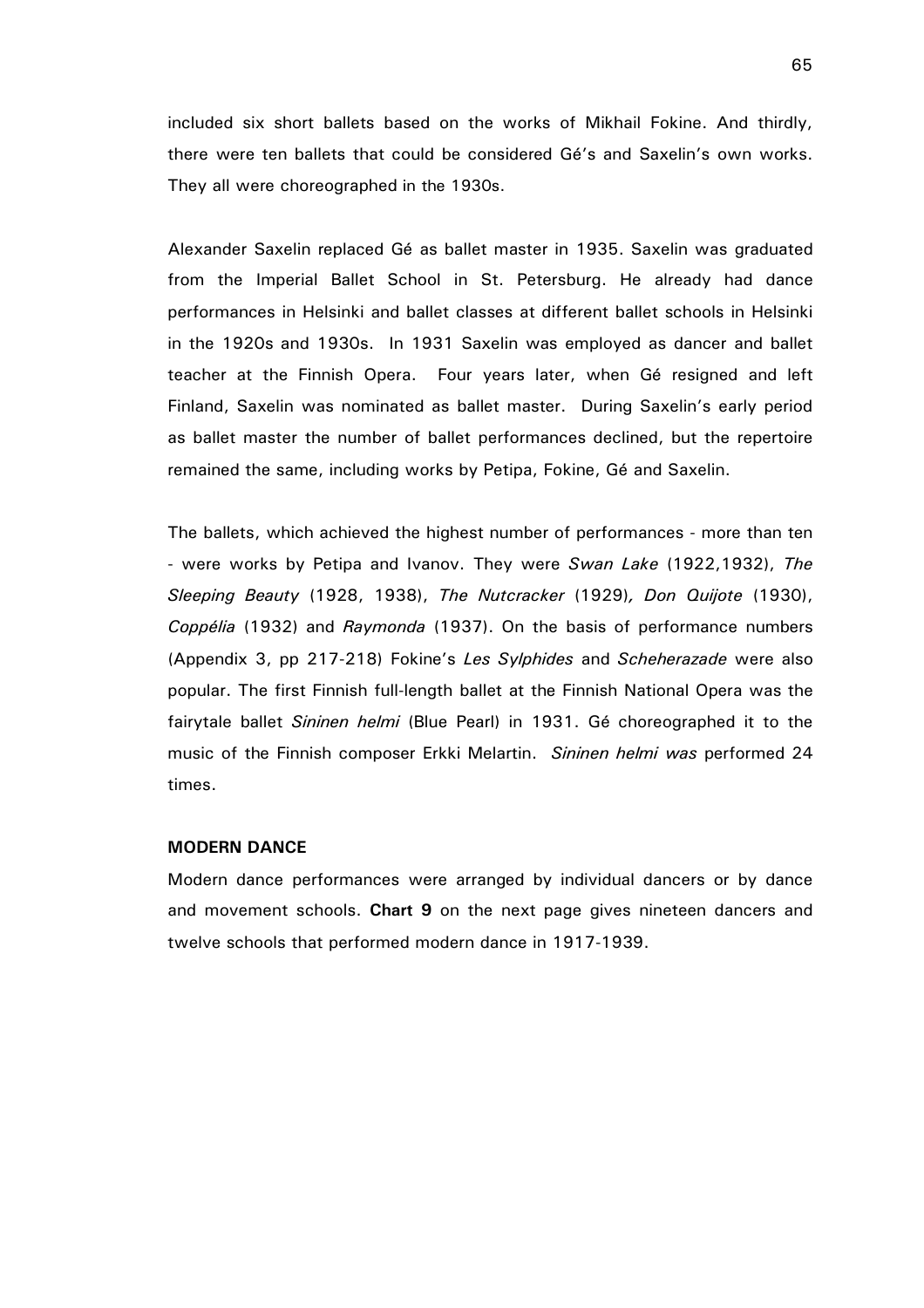included six short ballets based on the works of Mikhail Fokine. And thirdly, there were ten ballets that could be considered Gé's and Saxelin's own works. They all were choreographed in the 1930s.

Alexander Saxelin replaced Gé as ballet master in 1935. Saxelin was graduated from the Imperial Ballet School in St. Petersburg. He already had dance performances in Helsinki and ballet classes at different ballet schools in Helsinki in the 1920s and 1930s. In 1931 Saxelin was employed as dancer and ballet teacher at the Finnish Opera. Four years later, when Gé resigned and left Finland, Saxelin was nominated as ballet master. During Saxelin's early period as ballet master the number of ballet performances declined, but the repertoire remained the same, including works by Petipa, Fokine, Gé and Saxelin.

The ballets, which achieved the highest number of performances - more than ten - were works by Petipa and Ivanov. They were Swan Lake (1922,1932), The Sleeping Beauty (1928, 1938), The Nutcracker (1929), Don Quijote (1930), Coppélia (1932) and Raymonda (1937). On the basis of performance numbers (Appendix 3, pp 217-218) Fokine's Les Sylphides and Scheherazade were also popular. The first Finnish full-length ballet at the Finnish National Opera was the fairytale ballet Sininen helmi (Blue Pearl) in 1931. Gé choreographed it to the music of the Finnish composer Erkki Melartin. Sininen helmi was performed 24 times.

## MODERN DANCE

Modern dance performances were arranged by individual dancers or by dance and movement schools. Chart 9 on the next page gives nineteen dancers and twelve schools that performed modern dance in 1917-1939.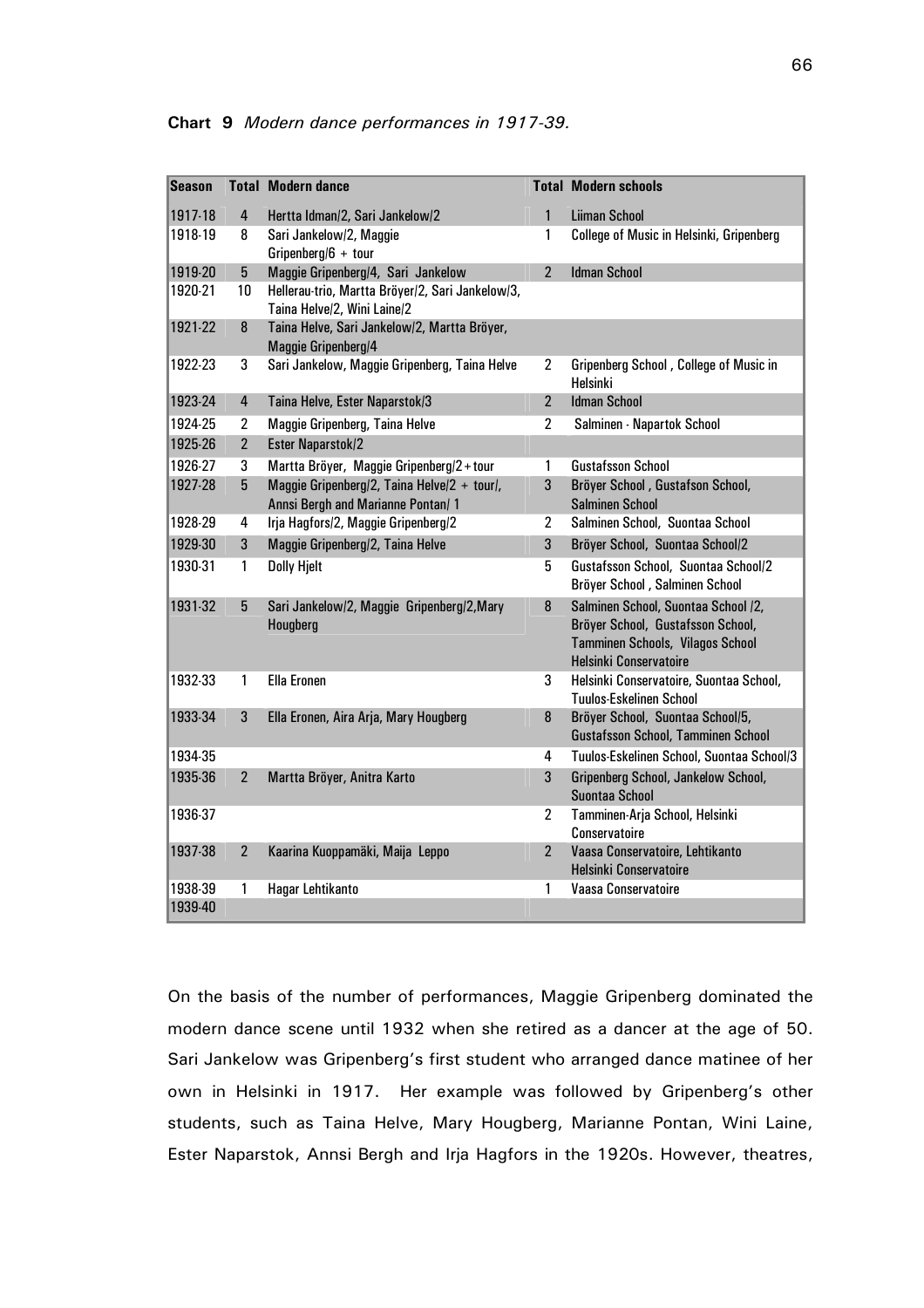| <b>Season</b> |                 | <b>Total Modern dance</b>                                                         |                | <b>Total Modern schools</b>                                                                                                            |
|---------------|-----------------|-----------------------------------------------------------------------------------|----------------|----------------------------------------------------------------------------------------------------------------------------------------|
| 1917-18       | 4               | Hertta Idman/2, Sari Jankelow/2                                                   | 1              | <b>Liiman School</b>                                                                                                                   |
| 1918-19       | 8               | Sari Jankelow/2, Maggie<br>Gripenberg/ $6 + tour$                                 | 1              | College of Music in Helsinki, Gripenberg                                                                                               |
| 1919-20       | 5               | Maggie Gripenberg/4, Sari Jankelow                                                | $\overline{2}$ | <b>Idman School</b>                                                                                                                    |
| 1920-21       | 10              | Hellerau-trio, Martta Bröyer/2, Sari Jankelow/3,<br>Taina Helve/2, Wini Laine/2   |                |                                                                                                                                        |
| 1921-22       | 8               | Taina Helve, Sari Jankelow/2, Martta Bröyer,<br>Maggie Gripenberg/4               |                |                                                                                                                                        |
| 1922-23       | 3               | Sari Jankelow, Maggie Gripenberg, Taina Helve                                     | $\overline{2}$ | Gripenberg School, College of Music in<br><b>Helsinki</b>                                                                              |
| 1923 24       | 4               | Taina Helve, Ester Naparstok/3                                                    | $\overline{2}$ | <b>Idman School</b>                                                                                                                    |
| 1924-25       | $\overline{2}$  | Maggie Gripenberg, Taina Helve                                                    | 2              | Salminen - Napartok School                                                                                                             |
| 1925-26       | $\overline{2}$  | <b>Ester Naparstok/2</b>                                                          |                |                                                                                                                                        |
| 1926-27       | 3               | Martta Bröyer, Maggie Gripenberg/2+tour                                           | 1              | <b>Gustafsson School</b>                                                                                                               |
| 1927-28       | 5               | Maggie Gripenberg/2, Taina Helve/2 + tour/,<br>Annsi Bergh and Marianne Pontan/ 1 | 3              | Bröyer School, Gustafson School,<br><b>Salminen School</b>                                                                             |
| 1928-29       | 4               | Irja Hagfors/2, Maggie Gripenberg/2                                               | $\overline{2}$ | Salminen School, Suontaa School                                                                                                        |
| 1929-30       | 3               | Maggie Gripenberg/2, Taina Helve                                                  | 3              | Bröyer School, Suontaa School/2                                                                                                        |
| 1930-31       | 1               | <b>Dolly Hjelt</b>                                                                | 5              | Gustafsson School, Suontaa School/2<br>Bröyer School, Salminen School                                                                  |
| 1931-32       | $5\phantom{.0}$ | Sari Jankelow/2, Maggie Gripenberg/2, Mary<br>Hougberg                            | 8              | Salminen School, Suontaa School /2,<br>Bröyer School, Gustafsson School,<br>Tamminen Schools, Vilagos School<br>Helsinki Conservatoire |
| 1932-33       | $\mathbf{1}$    | <b>Ella Eronen</b>                                                                | 3              | Helsinki Conservatoire, Suontaa School,<br><b>Tuulos-Eskelinen School</b>                                                              |
| 1933-34       | 3               | Ella Eronen, Aira Arja, Mary Hougberg                                             | 8              | Bröyer School, Suontaa School/5,<br><b>Gustafsson School, Tamminen School</b>                                                          |
| 1934-35       |                 |                                                                                   | 4              | Tuulos-Eskelinen School, Suontaa School/3                                                                                              |
| 1935-36       | $\overline{2}$  | Martta Bröyer, Anitra Karto                                                       | 3              | Gripenberg School, Jankelow School,<br>Suontaa School                                                                                  |
| 1936-37       |                 |                                                                                   | 2              | Tamminen-Arja School, Helsinki<br>Conservatoire                                                                                        |
| 1937-38       | $\overline{2}$  | Kaarina Kuoppamäki, Maija Leppo                                                   | $\overline{2}$ | Vaasa Conservatoire, Lehtikanto<br><b>Helsinki Conservatoire</b>                                                                       |
| 1938-39       | 1               | Hagar Lehtikanto                                                                  | 1              | Vaasa Conservatoire                                                                                                                    |
| 1939-40       |                 |                                                                                   |                |                                                                                                                                        |

On the basis of the number of performances, Maggie Gripenberg dominated the modern dance scene until 1932 when she retired as a dancer at the age of 50. Sari Jankelow was Gripenberg's first student who arranged dance matinee of her own in Helsinki in 1917. Her example was followed by Gripenberg's other students, such as Taina Helve, Mary Hougberg, Marianne Pontan, Wini Laine, Ester Naparstok, Annsi Bergh and Irja Hagfors in the 1920s. However, theatres,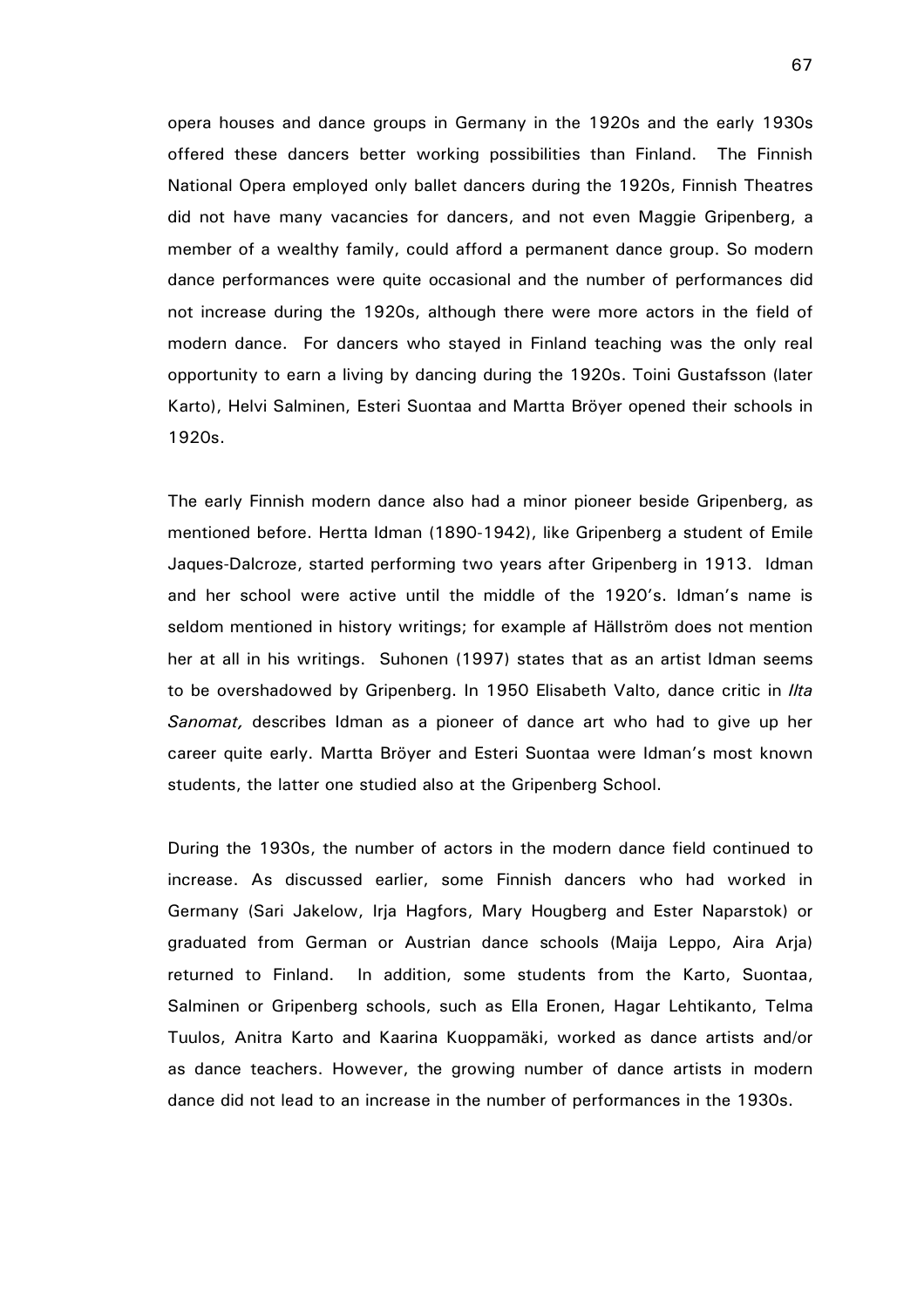opera houses and dance groups in Germany in the 1920s and the early 1930s offered these dancers better working possibilities than Finland. The Finnish National Opera employed only ballet dancers during the 1920s, Finnish Theatres did not have many vacancies for dancers, and not even Maggie Gripenberg, a member of a wealthy family, could afford a permanent dance group. So modern dance performances were quite occasional and the number of performances did not increase during the 1920s, although there were more actors in the field of modern dance. For dancers who stayed in Finland teaching was the only real opportunity to earn a living by dancing during the 1920s. Toini Gustafsson (later Karto), Helvi Salminen, Esteri Suontaa and Martta Bröyer opened their schools in 1920s.

The early Finnish modern dance also had a minor pioneer beside Gripenberg, as mentioned before. Hertta Idman (1890-1942), like Gripenberg a student of Emile Jaques-Dalcroze, started performing two years after Gripenberg in 1913. Idman and her school were active until the middle of the 1920's. Idman's name is seldom mentioned in history writings; for example af Hällström does not mention her at all in his writings. Suhonen (1997) states that as an artist Idman seems to be overshadowed by Gripenberg. In 1950 Elisabeth Valto, dance critic in *Ilta* Sanomat, describes Idman as a pioneer of dance art who had to give up her career quite early. Martta Bröyer and Esteri Suontaa were Idman's most known students, the latter one studied also at the Gripenberg School.

During the 1930s, the number of actors in the modern dance field continued to increase. As discussed earlier, some Finnish dancers who had worked in Germany (Sari Jakelow, Irja Hagfors, Mary Hougberg and Ester Naparstok) or graduated from German or Austrian dance schools (Maija Leppo, Aira Arja) returned to Finland. In addition, some students from the Karto, Suontaa, Salminen or Gripenberg schools, such as Ella Eronen, Hagar Lehtikanto, Telma Tuulos, Anitra Karto and Kaarina Kuoppamäki, worked as dance artists and/or as dance teachers. However, the growing number of dance artists in modern dance did not lead to an increase in the number of performances in the 1930s.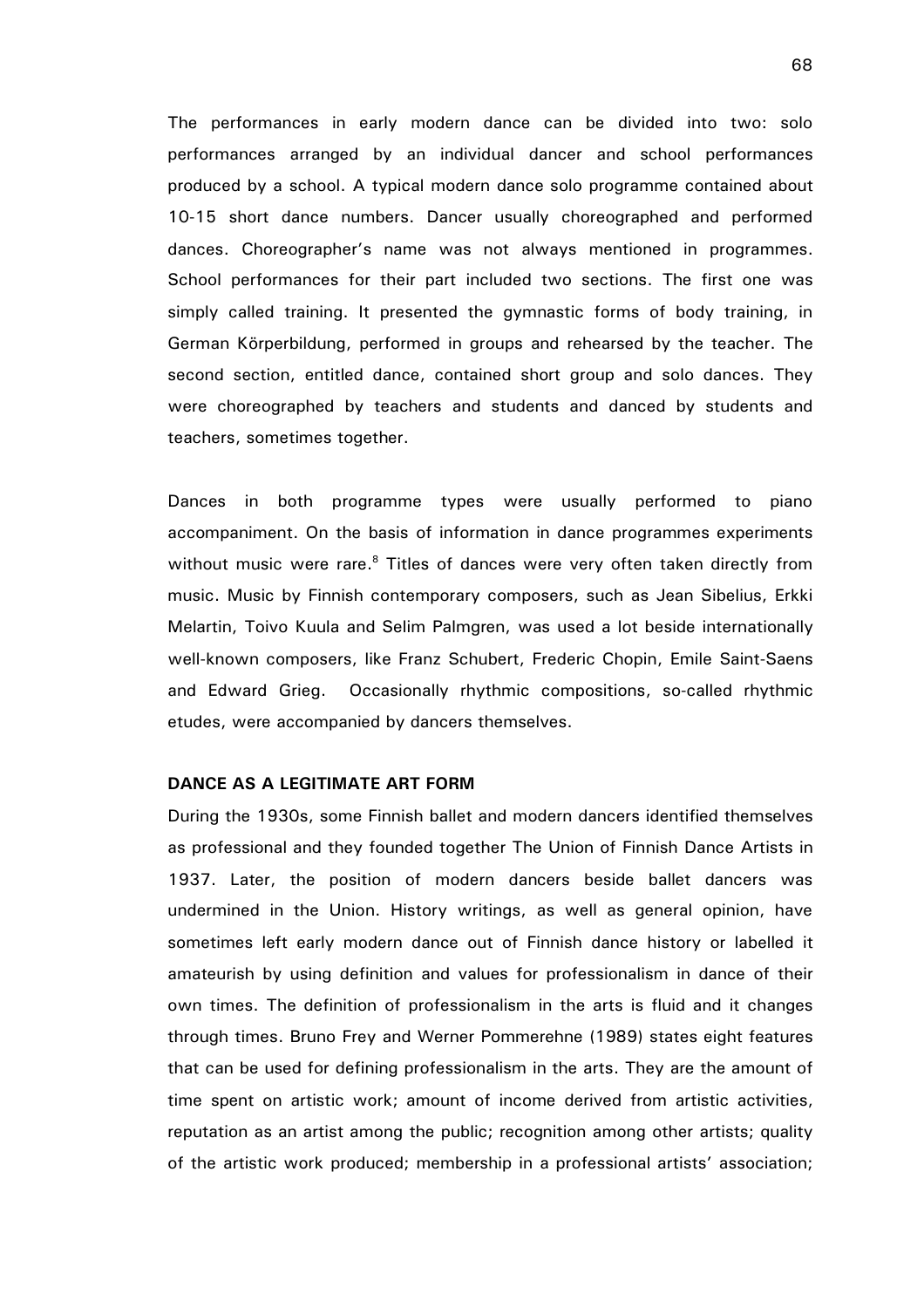The performances in early modern dance can be divided into two: solo performances arranged by an individual dancer and school performances produced by a school. A typical modern dance solo programme contained about 10-15 short dance numbers. Dancer usually choreographed and performed dances. Choreographer's name was not always mentioned in programmes. School performances for their part included two sections. The first one was simply called training. It presented the gymnastic forms of body training, in German Körperbildung, performed in groups and rehearsed by the teacher. The second section, entitled dance, contained short group and solo dances. They were choreographed by teachers and students and danced by students and teachers, sometimes together.

Dances in both programme types were usually performed to piano accompaniment. On the basis of information in dance programmes experiments without music were rare.<sup>8</sup> Titles of dances were very often taken directly from music. Music by Finnish contemporary composers, such as Jean Sibelius, Erkki Melartin, Toivo Kuula and Selim Palmgren, was used a lot beside internationally well-known composers, like Franz Schubert, Frederic Chopin, Emile Saint-Saens and Edward Grieg. Occasionally rhythmic compositions, so-called rhythmic etudes, were accompanied by dancers themselves.

## DANCE AS A LEGITIMATE ART FORM

During the 1930s, some Finnish ballet and modern dancers identified themselves as professional and they founded together The Union of Finnish Dance Artists in 1937. Later, the position of modern dancers beside ballet dancers was undermined in the Union. History writings, as well as general opinion, have sometimes left early modern dance out of Finnish dance history or labelled it amateurish by using definition and values for professionalism in dance of their own times. The definition of professionalism in the arts is fluid and it changes through times. Bruno Frey and Werner Pommerehne (1989) states eight features that can be used for defining professionalism in the arts. They are the amount of time spent on artistic work; amount of income derived from artistic activities, reputation as an artist among the public; recognition among other artists; quality of the artistic work produced; membership in a professional artists' association;

68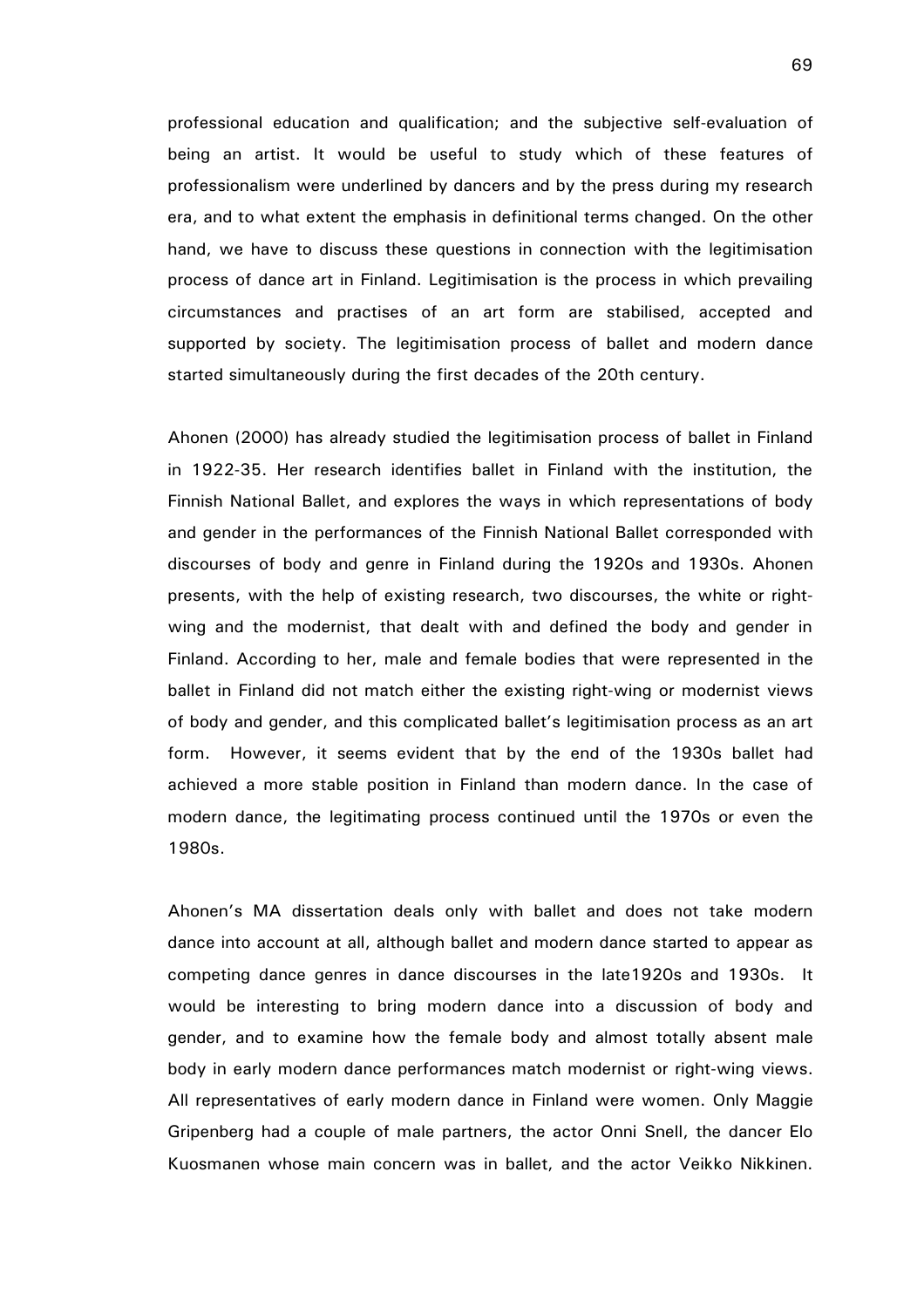professional education and qualification; and the subjective self-evaluation of being an artist. It would be useful to study which of these features of professionalism were underlined by dancers and by the press during my research era, and to what extent the emphasis in definitional terms changed. On the other hand, we have to discuss these questions in connection with the legitimisation process of dance art in Finland. Legitimisation is the process in which prevailing circumstances and practises of an art form are stabilised, accepted and supported by society. The legitimisation process of ballet and modern dance started simultaneously during the first decades of the 20th century.

Ahonen (2000) has already studied the legitimisation process of ballet in Finland in 1922-35. Her research identifies ballet in Finland with the institution, the Finnish National Ballet, and explores the ways in which representations of body and gender in the performances of the Finnish National Ballet corresponded with discourses of body and genre in Finland during the 1920s and 1930s. Ahonen presents, with the help of existing research, two discourses, the white or rightwing and the modernist, that dealt with and defined the body and gender in Finland. According to her, male and female bodies that were represented in the ballet in Finland did not match either the existing right-wing or modernist views of body and gender, and this complicated ballet's legitimisation process as an art form. However, it seems evident that by the end of the 1930s ballet had achieved a more stable position in Finland than modern dance. In the case of modern dance, the legitimating process continued until the 1970s or even the 1980s.

Ahonen's MA dissertation deals only with ballet and does not take modern dance into account at all, although ballet and modern dance started to appear as competing dance genres in dance discourses in the late1920s and 1930s. It would be interesting to bring modern dance into a discussion of body and gender, and to examine how the female body and almost totally absent male body in early modern dance performances match modernist or right-wing views. All representatives of early modern dance in Finland were women. Only Maggie Gripenberg had a couple of male partners, the actor Onni Snell, the dancer Elo Kuosmanen whose main concern was in ballet, and the actor Veikko Nikkinen.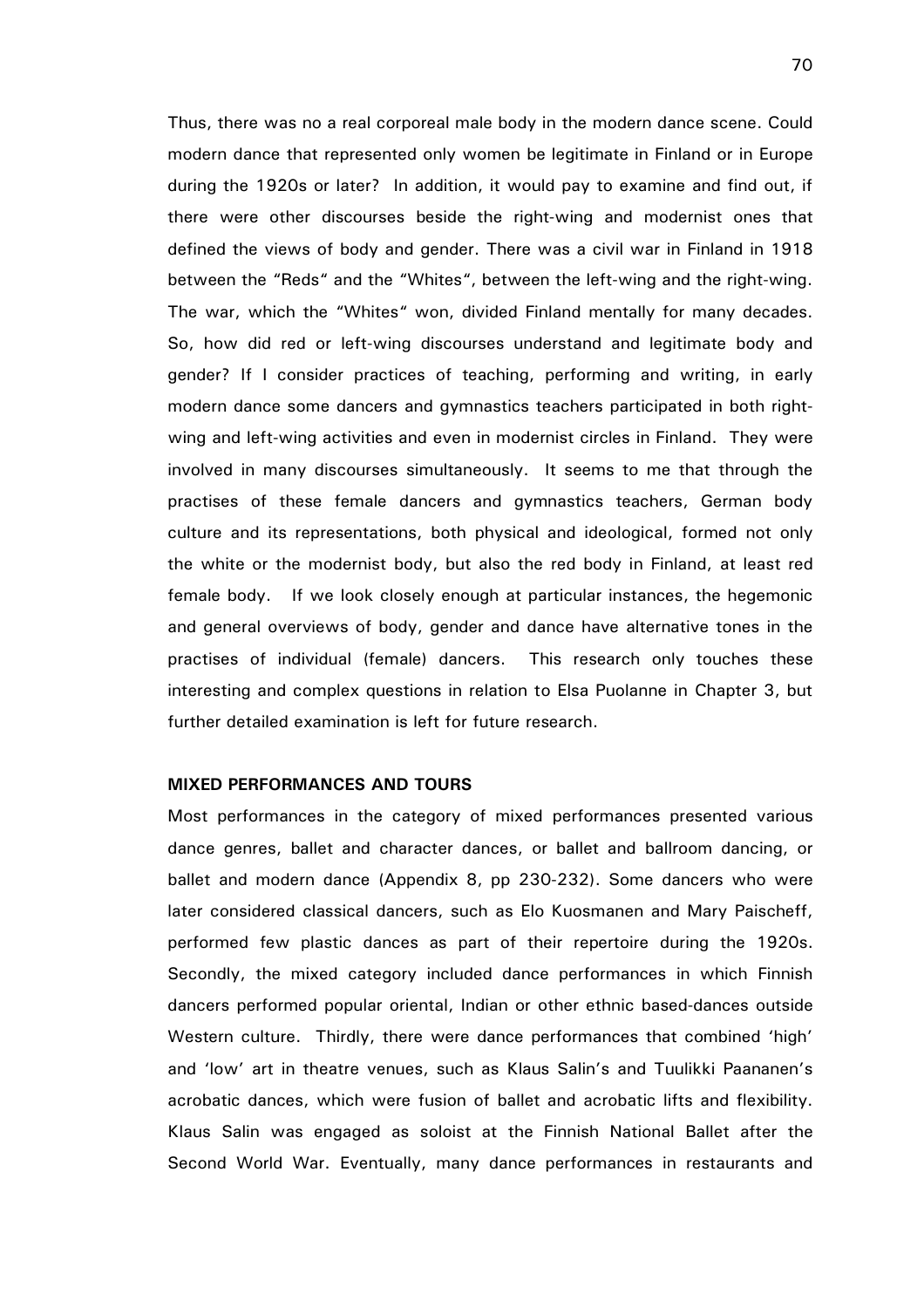Thus, there was no a real corporeal male body in the modern dance scene. Could modern dance that represented only women be legitimate in Finland or in Europe during the 1920s or later? In addition, it would pay to examine and find out, if there were other discourses beside the right-wing and modernist ones that defined the views of body and gender. There was a civil war in Finland in 1918 between the "Reds" and the "Whites", between the left-wing and the right-wing. The war, which the "Whites" won, divided Finland mentally for many decades. So, how did red or left-wing discourses understand and legitimate body and gender? If I consider practices of teaching, performing and writing, in early modern dance some dancers and gymnastics teachers participated in both rightwing and left-wing activities and even in modernist circles in Finland. They were involved in many discourses simultaneously. It seems to me that through the practises of these female dancers and gymnastics teachers, German body culture and its representations, both physical and ideological, formed not only the white or the modernist body, but also the red body in Finland, at least red female body. If we look closely enough at particular instances, the hegemonic and general overviews of body, gender and dance have alternative tones in the practises of individual (female) dancers. This research only touches these interesting and complex questions in relation to Elsa Puolanne in Chapter 3, but further detailed examination is left for future research.

#### MIXED PERFORMANCES AND TOURS

Most performances in the category of mixed performances presented various dance genres, ballet and character dances, or ballet and ballroom dancing, or ballet and modern dance (Appendix 8, pp 230-232). Some dancers who were later considered classical dancers, such as Elo Kuosmanen and Mary Paischeff, performed few plastic dances as part of their repertoire during the 1920s. Secondly, the mixed category included dance performances in which Finnish dancers performed popular oriental, Indian or other ethnic based-dances outside Western culture. Thirdly, there were dance performances that combined 'high' and 'low' art in theatre venues, such as Klaus Salin's and Tuulikki Paananen's acrobatic dances, which were fusion of ballet and acrobatic lifts and flexibility. Klaus Salin was engaged as soloist at the Finnish National Ballet after the Second World War. Eventually, many dance performances in restaurants and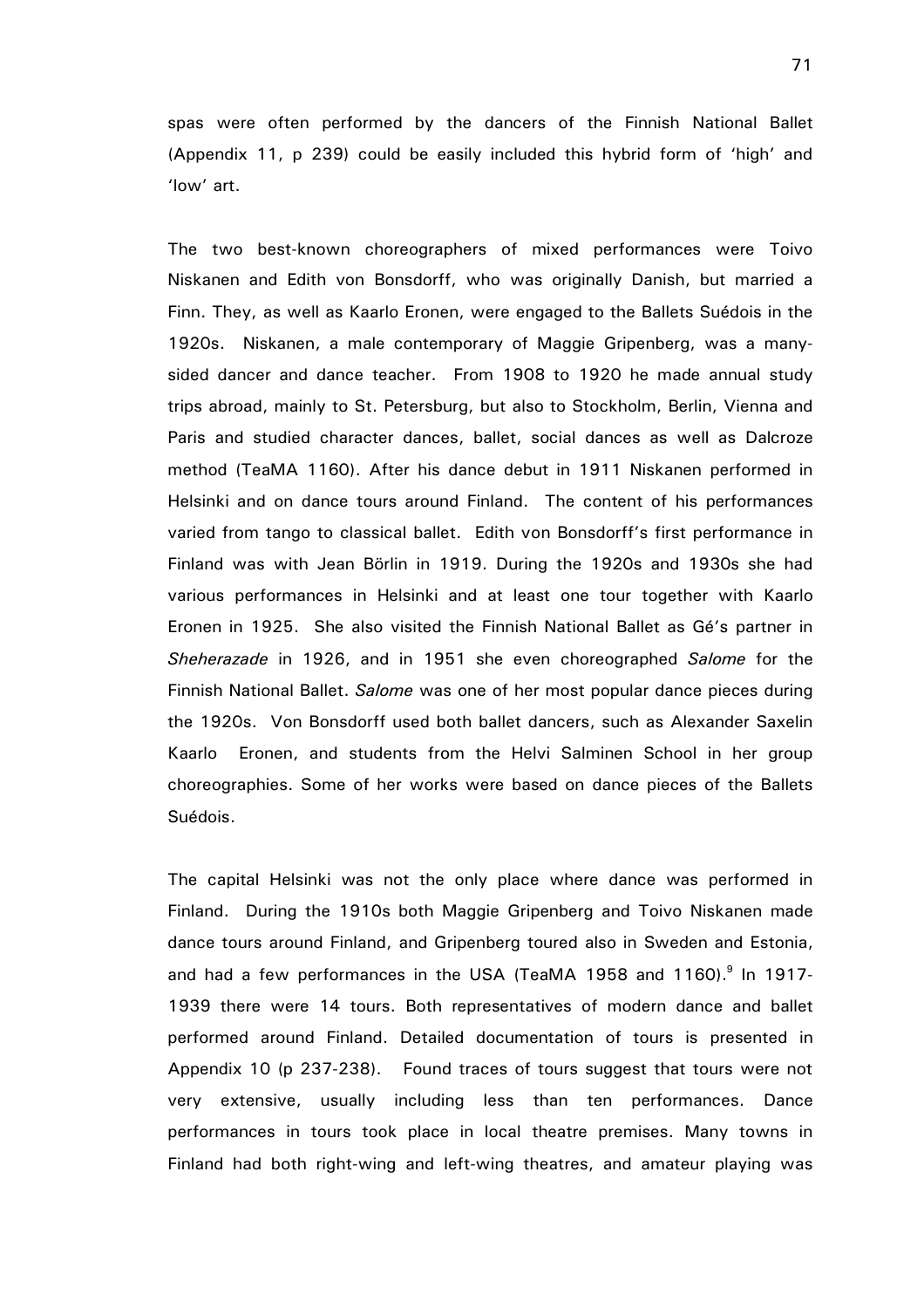spas were often performed by the dancers of the Finnish National Ballet (Appendix 11, p 239) could be easily included this hybrid form of 'high' and 'low' art.

The two best-known choreographers of mixed performances were Toivo Niskanen and Edith von Bonsdorff, who was originally Danish, but married a Finn. They, as well as Kaarlo Eronen, were engaged to the Ballets Suédois in the 1920s. Niskanen, a male contemporary of Maggie Gripenberg, was a manysided dancer and dance teacher. From 1908 to 1920 he made annual study trips abroad, mainly to St. Petersburg, but also to Stockholm, Berlin, Vienna and Paris and studied character dances, ballet, social dances as well as Dalcroze method (TeaMA 1160). After his dance debut in 1911 Niskanen performed in Helsinki and on dance tours around Finland. The content of his performances varied from tango to classical ballet. Edith von Bonsdorff's first performance in Finland was with Jean Börlin in 1919. During the 1920s and 1930s she had various performances in Helsinki and at least one tour together with Kaarlo Eronen in 1925. She also visited the Finnish National Ballet as Gé's partner in Sheherazade in 1926, and in 1951 she even choreographed Salome for the Finnish National Ballet. Salome was one of her most popular dance pieces during the 1920s. Von Bonsdorff used both ballet dancers, such as Alexander Saxelin Kaarlo Eronen, and students from the Helvi Salminen School in her group choreographies. Some of her works were based on dance pieces of the Ballets Suédois.

The capital Helsinki was not the only place where dance was performed in Finland. During the 1910s both Maggie Gripenberg and Toivo Niskanen made dance tours around Finland, and Gripenberg toured also in Sweden and Estonia, and had a few performances in the USA (TeaMA 1958 and 1160).<sup>9</sup> In 1917-1939 there were 14 tours. Both representatives of modern dance and ballet performed around Finland. Detailed documentation of tours is presented in Appendix 10 (p 237-238). Found traces of tours suggest that tours were not very extensive, usually including less than ten performances. Dance performances in tours took place in local theatre premises. Many towns in Finland had both right-wing and left-wing theatres, and amateur playing was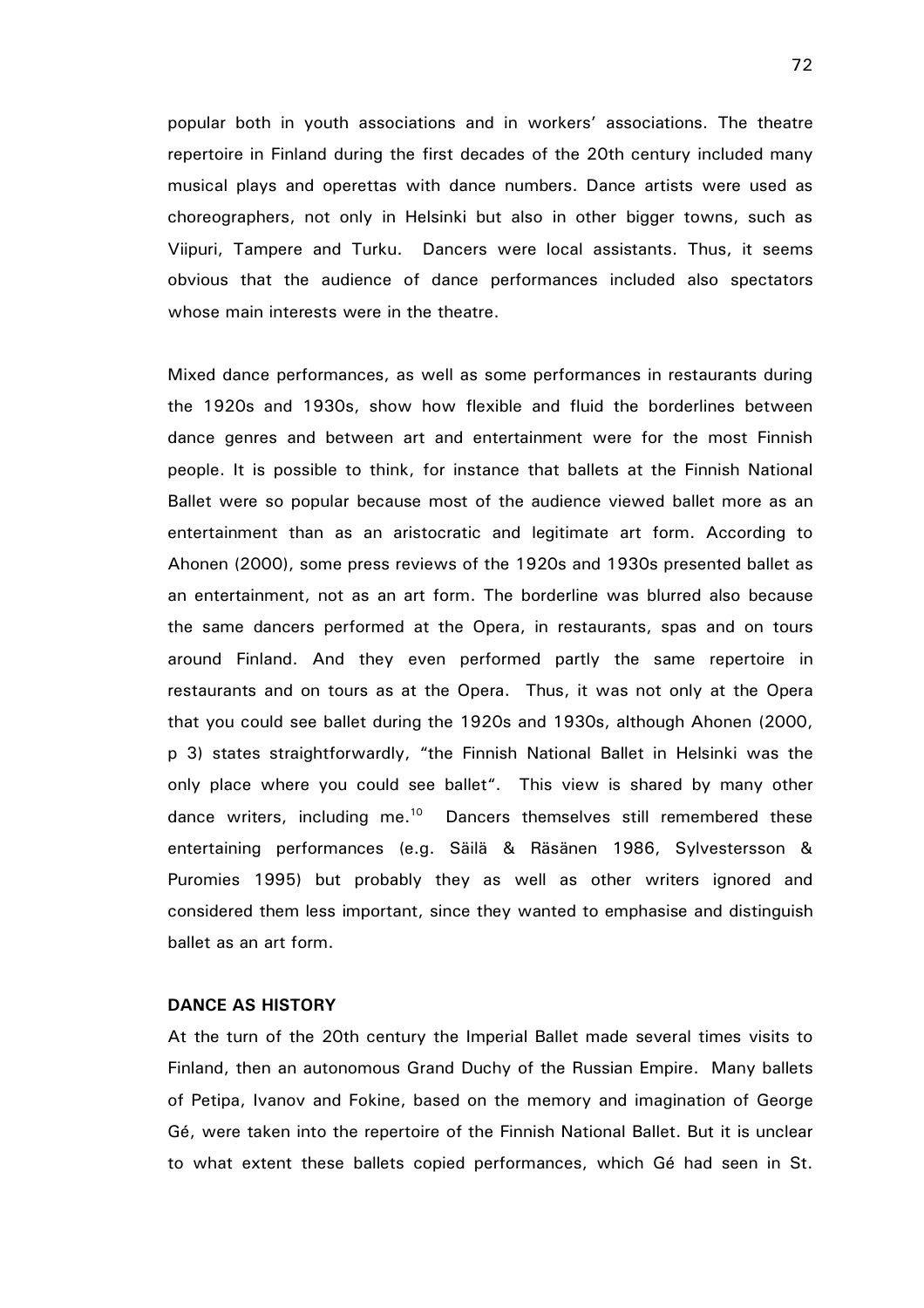popular both in youth associations and in workers' associations. The theatre repertoire in Finland during the first decades of the 20th century included many musical plays and operettas with dance numbers. Dance artists were used as choreographers, not only in Helsinki but also in other bigger towns, such as Viipuri, Tampere and Turku. Dancers were local assistants. Thus, it seems obvious that the audience of dance performances included also spectators whose main interests were in the theatre.

Mixed dance performances, as well as some performances in restaurants during the 1920s and 1930s, show how flexible and fluid the borderlines between dance genres and between art and entertainment were for the most Finnish people. It is possible to think, for instance that ballets at the Finnish National Ballet were so popular because most of the audience viewed ballet more as an entertainment than as an aristocratic and legitimate art form. According to Ahonen (2000), some press reviews of the 1920s and 1930s presented ballet as an entertainment, not as an art form. The borderline was blurred also because the same dancers performed at the Opera, in restaurants, spas and on tours around Finland. And they even performed partly the same repertoire in restaurants and on tours as at the Opera. Thus, it was not only at the Opera that you could see ballet during the 1920s and 1930s, although Ahonen (2000, p 3) states straightforwardly, "the Finnish National Ballet in Helsinki was the only place where you could see ballet". This view is shared by many other dance writers, including me.<sup>10</sup> Dancers themselves still remembered these entertaining performances (e.g. Säilä & Räsänen 1986, Sylvestersson & Puromies 1995) but probably they as well as other writers ignored and considered them less important, since they wanted to emphasise and distinguish ballet as an art form.

## DANCE AS HISTORY

At the turn of the 20th century the Imperial Ballet made several times visits to Finland, then an autonomous Grand Duchy of the Russian Empire. Many ballets of Petipa, Ivanov and Fokine, based on the memory and imagination of George Gé, were taken into the repertoire of the Finnish National Ballet. But it is unclear to what extent these ballets copied performances, which Gé had seen in St.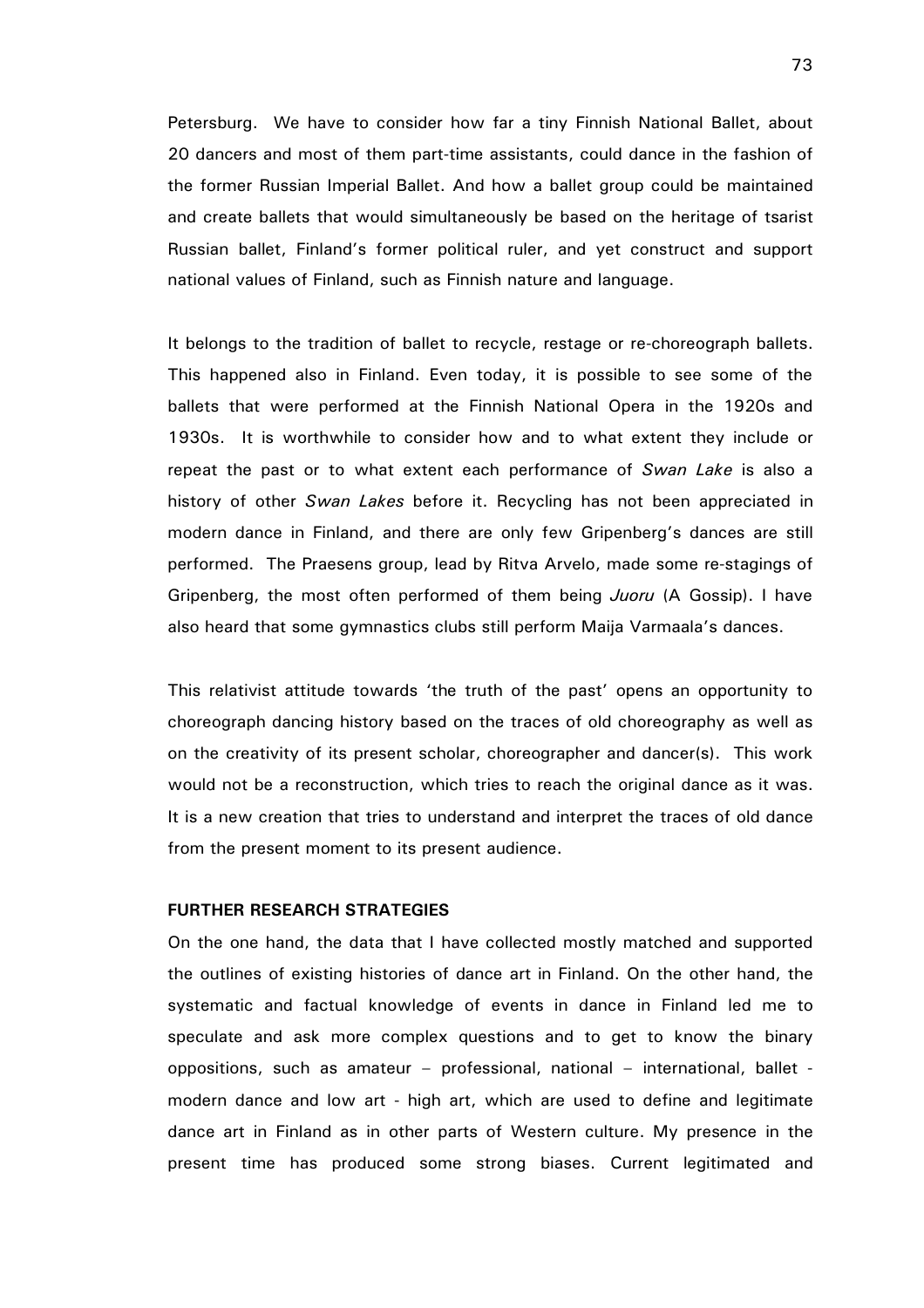Petersburg. We have to consider how far a tiny Finnish National Ballet, about 20 dancers and most of them part-time assistants, could dance in the fashion of the former Russian Imperial Ballet. And how a ballet group could be maintained and create ballets that would simultaneously be based on the heritage of tsarist Russian ballet, Finland's former political ruler, and yet construct and support national values of Finland, such as Finnish nature and language.

It belongs to the tradition of ballet to recycle, restage or re-choreograph ballets. This happened also in Finland. Even today, it is possible to see some of the ballets that were performed at the Finnish National Opera in the 1920s and 1930s. It is worthwhile to consider how and to what extent they include or repeat the past or to what extent each performance of Swan Lake is also a history of other Swan Lakes before it. Recycling has not been appreciated in modern dance in Finland, and there are only few Gripenberg's dances are still performed. The Praesens group, lead by Ritva Arvelo, made some re-stagings of Gripenberg, the most often performed of them being *Juoru* (A Gossip). I have also heard that some gymnastics clubs still perform Maija Varmaala's dances.

This relativist attitude towards 'the truth of the past' opens an opportunity to choreograph dancing history based on the traces of old choreography as well as on the creativity of its present scholar, choreographer and dancer(s). This work would not be a reconstruction, which tries to reach the original dance as it was. It is a new creation that tries to understand and interpret the traces of old dance from the present moment to its present audience.

## FURTHER RESEARCH STRATEGIES

On the one hand, the data that I have collected mostly matched and supported the outlines of existing histories of dance art in Finland. On the other hand, the systematic and factual knowledge of events in dance in Finland led me to speculate and ask more complex questions and to get to know the binary oppositions, such as amateur – professional, national – international, ballet modern dance and low art - high art, which are used to define and legitimate dance art in Finland as in other parts of Western culture. My presence in the present time has produced some strong biases. Current legitimated and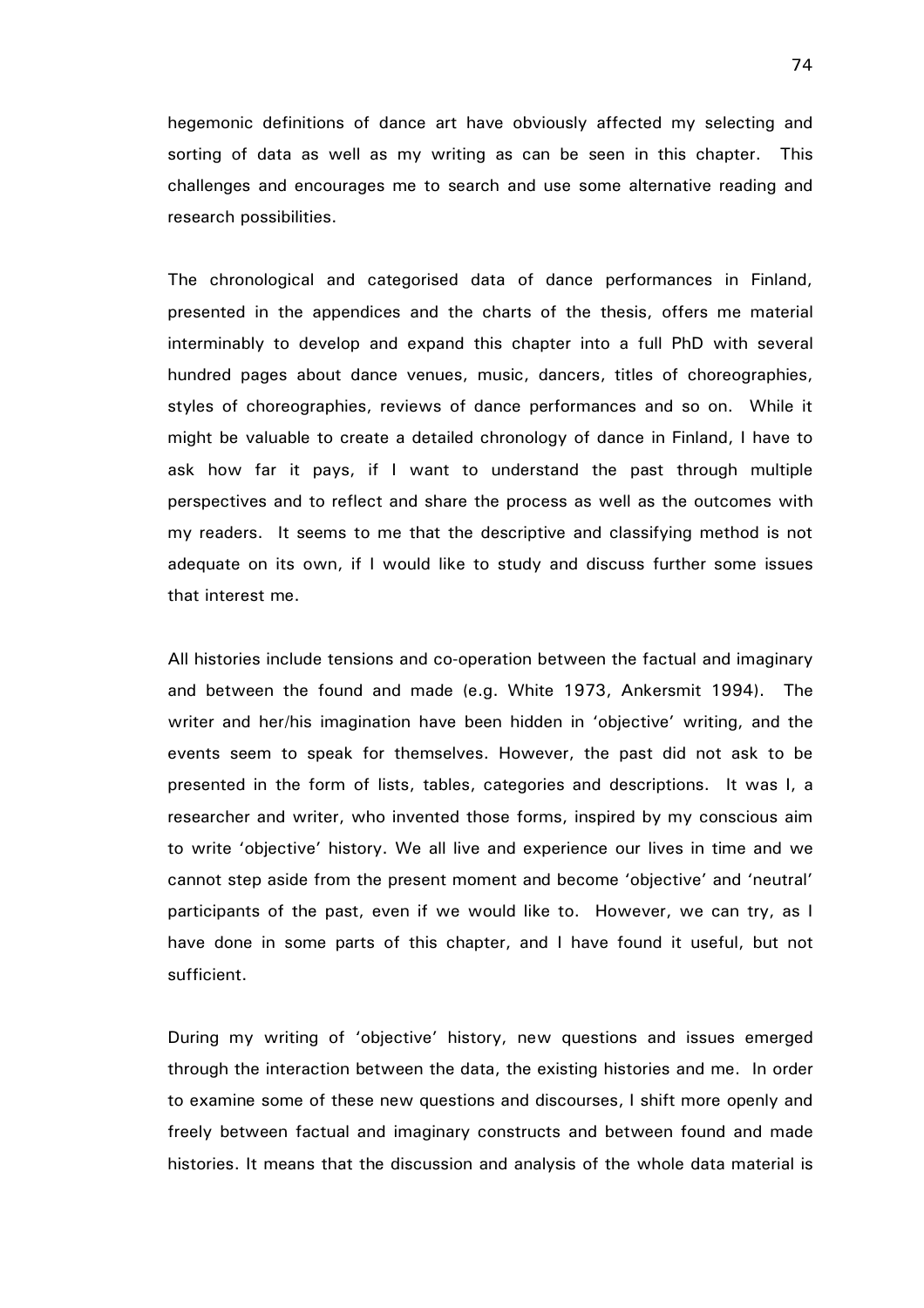hegemonic definitions of dance art have obviously affected my selecting and sorting of data as well as my writing as can be seen in this chapter. This challenges and encourages me to search and use some alternative reading and research possibilities.

The chronological and categorised data of dance performances in Finland, presented in the appendices and the charts of the thesis, offers me material interminably to develop and expand this chapter into a full PhD with several hundred pages about dance venues, music, dancers, titles of choreographies, styles of choreographies, reviews of dance performances and so on. While it might be valuable to create a detailed chronology of dance in Finland, I have to ask how far it pays, if I want to understand the past through multiple perspectives and to reflect and share the process as well as the outcomes with my readers. It seems to me that the descriptive and classifying method is not adequate on its own, if I would like to study and discuss further some issues that interest me.

All histories include tensions and co-operation between the factual and imaginary and between the found and made (e.g. White 1973, Ankersmit 1994). The writer and her/his imagination have been hidden in 'objective' writing, and the events seem to speak for themselves. However, the past did not ask to be presented in the form of lists, tables, categories and descriptions. It was I, a researcher and writer, who invented those forms, inspired by my conscious aim to write 'objective' history. We all live and experience our lives in time and we cannot step aside from the present moment and become 'objective' and 'neutral' participants of the past, even if we would like to. However, we can try, as I have done in some parts of this chapter, and I have found it useful, but not sufficient.

During my writing of 'objective' history, new questions and issues emerged through the interaction between the data, the existing histories and me. In order to examine some of these new questions and discourses, I shift more openly and freely between factual and imaginary constructs and between found and made histories. It means that the discussion and analysis of the whole data material is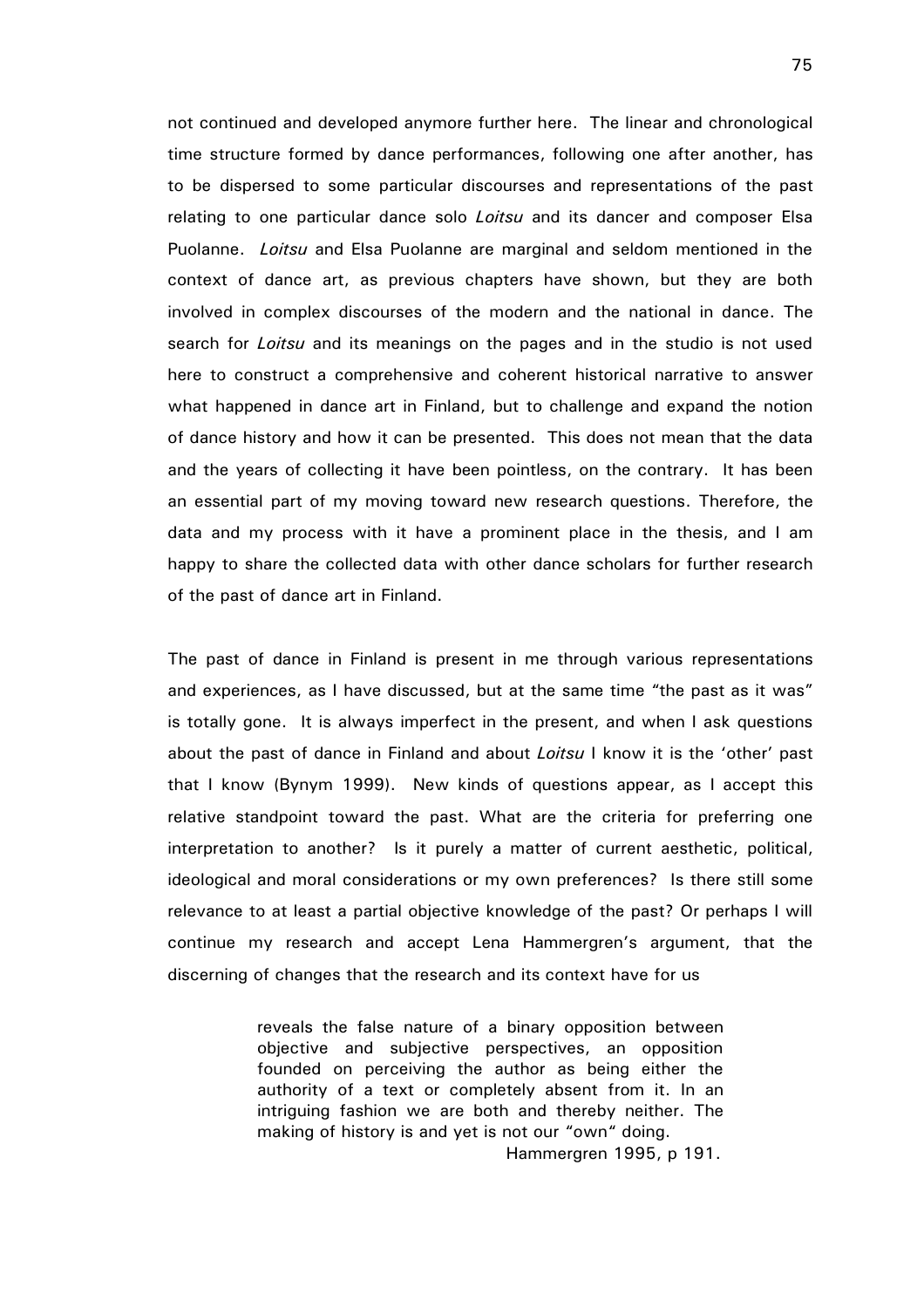not continued and developed anymore further here. The linear and chronological time structure formed by dance performances, following one after another, has to be dispersed to some particular discourses and representations of the past relating to one particular dance solo *Loitsu* and its dancer and composer Elsa Puolanne. Loitsu and Elsa Puolanne are marginal and seldom mentioned in the context of dance art, as previous chapters have shown, but they are both involved in complex discourses of the modern and the national in dance. The search for *Loitsu* and its meanings on the pages and in the studio is not used here to construct a comprehensive and coherent historical narrative to answer what happened in dance art in Finland, but to challenge and expand the notion of dance history and how it can be presented. This does not mean that the data and the years of collecting it have been pointless, on the contrary. It has been an essential part of my moving toward new research questions. Therefore, the data and my process with it have a prominent place in the thesis, and I am happy to share the collected data with other dance scholars for further research of the past of dance art in Finland.

The past of dance in Finland is present in me through various representations and experiences, as I have discussed, but at the same time "the past as it was" is totally gone. It is always imperfect in the present, and when I ask questions about the past of dance in Finland and about Loitsu I know it is the 'other' past that I know (Bynym 1999). New kinds of questions appear, as I accept this relative standpoint toward the past. What are the criteria for preferring one interpretation to another? Is it purely a matter of current aesthetic, political, ideological and moral considerations or my own preferences? Is there still some relevance to at least a partial objective knowledge of the past? Or perhaps I will continue my research and accept Lena Hammergren's argument, that the discerning of changes that the research and its context have for us

> reveals the false nature of a binary opposition between objective and subjective perspectives, an opposition founded on perceiving the author as being either the authority of a text or completely absent from it. In an intriguing fashion we are both and thereby neither. The making of history is and yet is not our "own" doing. Hammergren 1995, p 191.